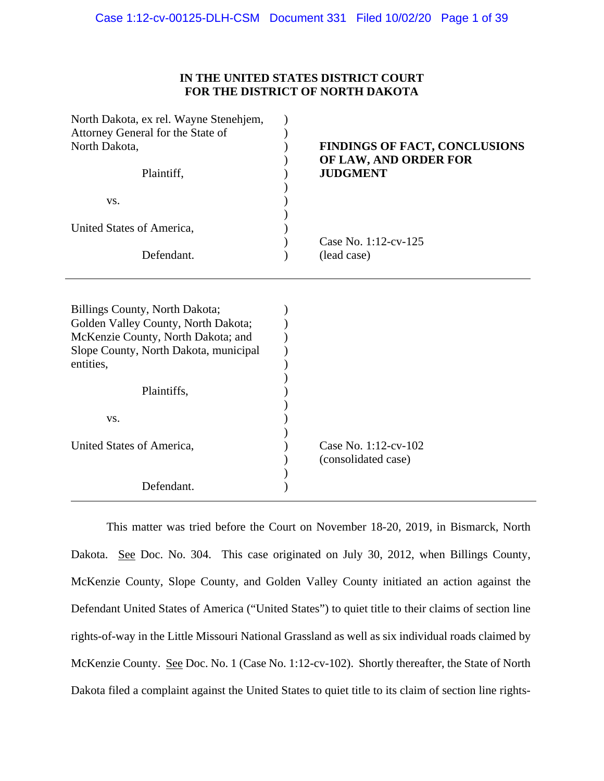# **IN THE UNITED STATES DISTRICT COURT FOR THE DISTRICT OF NORTH DAKOTA**

| North Dakota, ex rel. Wayne Stenehjem, |                                          |
|----------------------------------------|------------------------------------------|
| Attorney General for the State of      |                                          |
| North Dakota,                          | <b>FINDINGS OF FACT, CONCLUSIONS</b>     |
| Plaintiff,                             | OF LAW, AND ORDER FOR<br><b>JUDGMENT</b> |
| VS.                                    |                                          |
|                                        |                                          |
| United States of America,              |                                          |
|                                        | Case No. 1:12-cv-125                     |
| Defendant.                             | (lead case)                              |
|                                        |                                          |
|                                        |                                          |
| Billings County, North Dakota;         |                                          |
| Golden Valley County, North Dakota;    |                                          |
| McKenzie County, North Dakota; and     |                                          |
| Slope County, North Dakota, municipal  |                                          |
|                                        |                                          |
| entities,                              |                                          |
|                                        |                                          |
| Plaintiffs,                            |                                          |
|                                        |                                          |
| VS.                                    |                                          |
|                                        |                                          |
| United States of America,              | Case No. 1:12-cv-102                     |
|                                        | (consolidated case)                      |
|                                        |                                          |
| Defendant.                             |                                          |
|                                        |                                          |

This matter was tried before the Court on November 18-20, 2019, in Bismarck, North Dakota. See Doc. No. 304. This case originated on July 30, 2012, when Billings County, McKenzie County, Slope County, and Golden Valley County initiated an action against the Defendant United States of America ("United States") to quiet title to their claims of section line rights-of-way in the Little Missouri National Grassland as well as six individual roads claimed by McKenzie County. See Doc. No. 1 (Case No. 1:12-cv-102). Shortly thereafter, the State of North Dakota filed a complaint against the United States to quiet title to its claim of section line rights-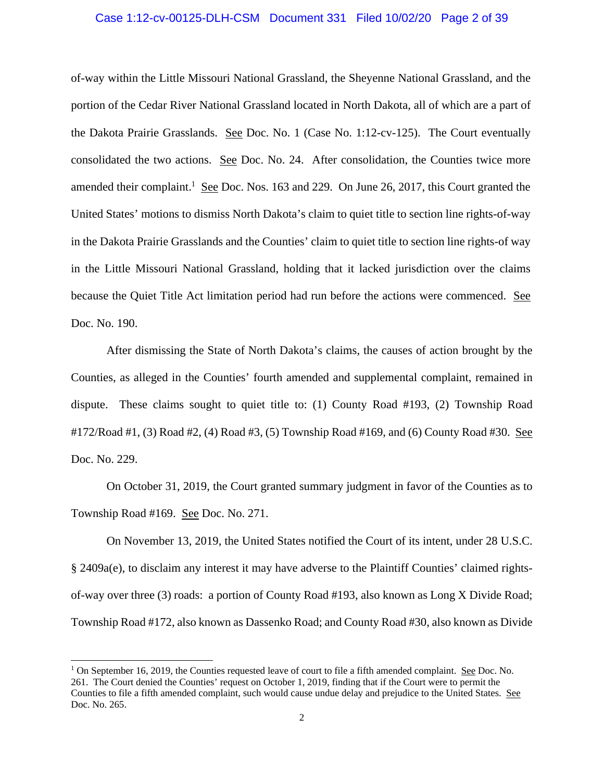### Case 1:12-cv-00125-DLH-CSM Document 331 Filed 10/02/20 Page 2 of 39

of-way within the Little Missouri National Grassland, the Sheyenne National Grassland, and the portion of the Cedar River National Grassland located in North Dakota, all of which are a part of the Dakota Prairie Grasslands. See Doc. No. 1 (Case No. 1:12-cv-125). The Court eventually consolidated the two actions. See Doc. No. 24. After consolidation, the Counties twice more amended their complaint.<sup>1</sup> See Doc. Nos. 163 and 229. On June 26, 2017, this Court granted the United States' motions to dismiss North Dakota's claim to quiet title to section line rights-of-way in the Dakota Prairie Grasslands and the Counties' claim to quiet title to section line rights-of way in the Little Missouri National Grassland, holding that it lacked jurisdiction over the claims because the Quiet Title Act limitation period had run before the actions were commenced. See Doc. No. 190.

After dismissing the State of North Dakota's claims, the causes of action brought by the Counties, as alleged in the Counties' fourth amended and supplemental complaint, remained in dispute. These claims sought to quiet title to: (1) County Road #193, (2) Township Road #172/Road #1, (3) Road #2, (4) Road #3, (5) Township Road #169, and (6) County Road #30. See Doc. No. 229.

On October 31, 2019, the Court granted summary judgment in favor of the Counties as to Township Road #169. See Doc. No. 271.

On November 13, 2019, the United States notified the Court of its intent, under 28 U.S.C. § 2409a(e), to disclaim any interest it may have adverse to the Plaintiff Counties' claimed rightsof-way over three (3) roads: a portion of County Road #193, also known as Long X Divide Road; Township Road #172, also known as Dassenko Road; and County Road #30, also known as Divide

<sup>&</sup>lt;sup>1</sup> On September 16, 2019, the Counties requested leave of court to file a fifth amended complaint. See Doc. No. 261. The Court denied the Counties' request on October 1, 2019, finding that if the Court were to permit the Counties to file a fifth amended complaint, such would cause undue delay and prejudice to the United States. See Doc. No. 265.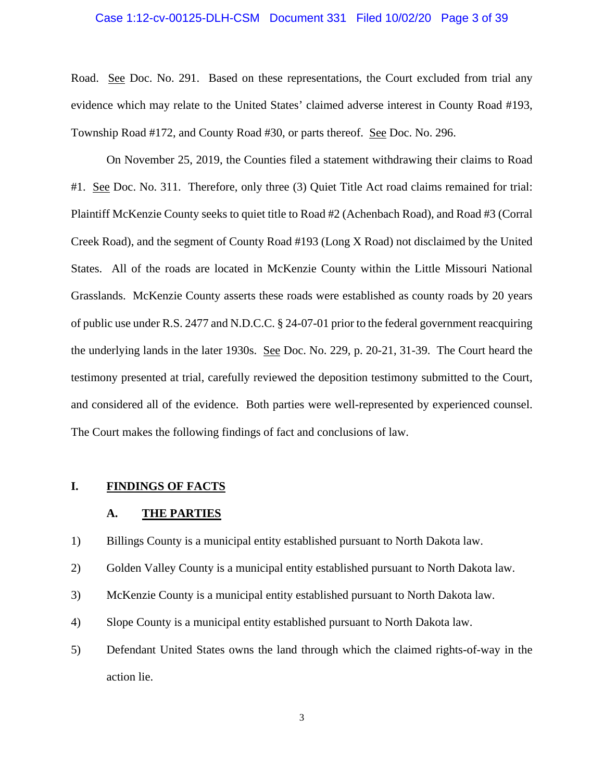### Case 1:12-cv-00125-DLH-CSM Document 331 Filed 10/02/20 Page 3 of 39

Road.See Doc. No. 291. Based on these representations, the Court excluded from trial any evidence which may relate to the United States' claimed adverse interest in County Road #193, Township Road #172, and County Road #30, or parts thereof. See Doc. No. 296.

 On November 25, 2019, the Counties filed a statement withdrawing their claims to Road #1. See Doc. No. 311. Therefore, only three (3) Quiet Title Act road claims remained for trial: Plaintiff McKenzie County seeks to quiet title to Road #2 (Achenbach Road), and Road #3 (Corral Creek Road), and the segment of County Road #193 (Long X Road) not disclaimed by the United States. All of the roads are located in McKenzie County within the Little Missouri National Grasslands. McKenzie County asserts these roads were established as county roads by 20 years of public use under R.S. 2477 and N.D.C.C. § 24-07-01 prior to the federal government reacquiring the underlying lands in the later 1930s. See Doc. No. 229, p. 20-21, 31-39. The Court heard the testimony presented at trial, carefully reviewed the deposition testimony submitted to the Court, and considered all of the evidence. Both parties were well-represented by experienced counsel. The Court makes the following findings of fact and conclusions of law.

### **I. FINDINGS OF FACTS**

#### **A. THE PARTIES**

1) Billings County is a municipal entity established pursuant to North Dakota law.

2) Golden Valley County is a municipal entity established pursuant to North Dakota law.

- 3) McKenzie County is a municipal entity established pursuant to North Dakota law.
- 4) Slope County is a municipal entity established pursuant to North Dakota law.
- 5) Defendant United States owns the land through which the claimed rights-of-way in the action lie.

3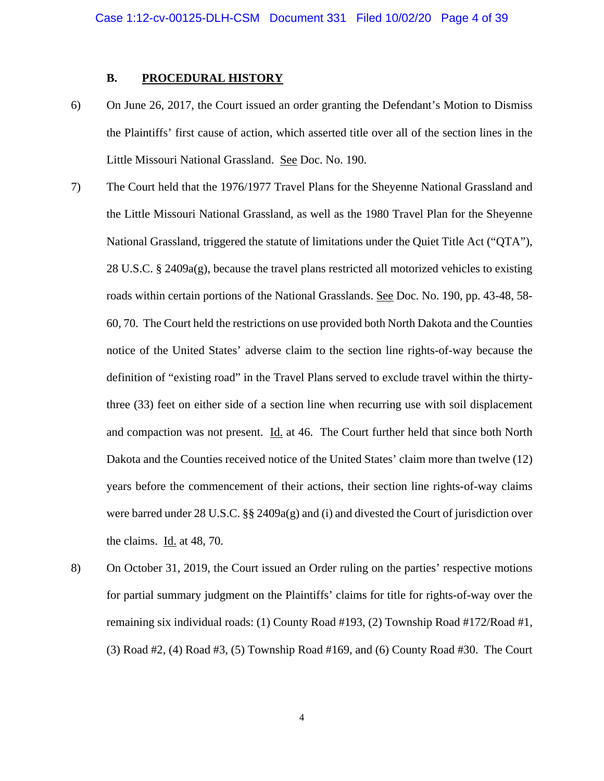## **B. PROCEDURAL HISTORY**

- 6) On June 26, 2017, the Court issued an order granting the Defendant's Motion to Dismiss the Plaintiffs' first cause of action, which asserted title over all of the section lines in the Little Missouri National Grassland. See Doc. No. 190.
- 7) The Court held that the 1976/1977 Travel Plans for the Sheyenne National Grassland and the Little Missouri National Grassland, as well as the 1980 Travel Plan for the Sheyenne National Grassland, triggered the statute of limitations under the Quiet Title Act ("QTA"), 28 U.S.C. § 2409a(g), because the travel plans restricted all motorized vehicles to existing roads within certain portions of the National Grasslands. See Doc. No. 190, pp. 43-48, 58- 60, 70. The Court held the restrictions on use provided both North Dakota and the Counties notice of the United States' adverse claim to the section line rights-of-way because the definition of "existing road" in the Travel Plans served to exclude travel within the thirtythree (33) feet on either side of a section line when recurring use with soil displacement and compaction was not present. Id. at 46. The Court further held that since both North Dakota and the Counties received notice of the United States' claim more than twelve (12) years before the commencement of their actions, their section line rights-of-way claims were barred under 28 U.S.C. §§ 2409a(g) and (i) and divested the Court of jurisdiction over the claims. Id. at 48, 70.
- 8) On October 31, 2019, the Court issued an Order ruling on the parties' respective motions for partial summary judgment on the Plaintiffs' claims for title for rights-of-way over the remaining six individual roads: (1) County Road #193, (2) Township Road #172/Road #1, (3) Road #2, (4) Road #3, (5) Township Road #169, and (6) County Road #30. The Court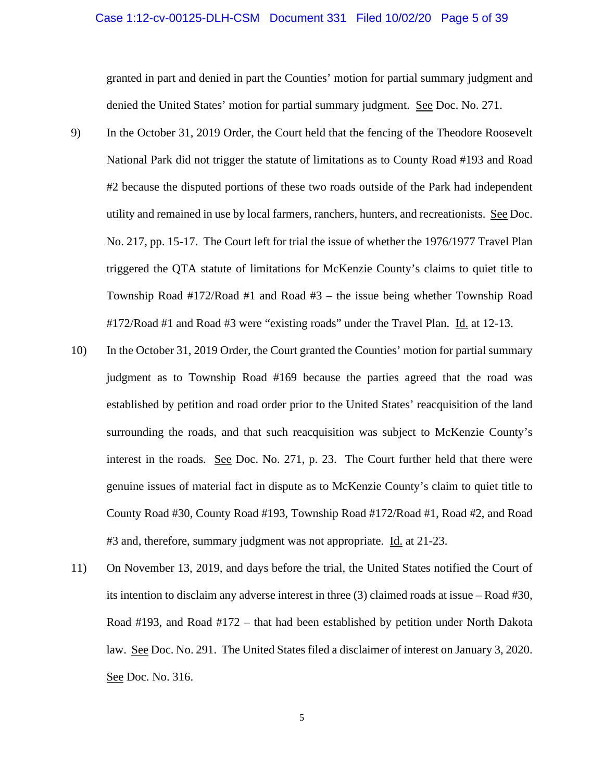### Case 1:12-cv-00125-DLH-CSM Document 331 Filed 10/02/20 Page 5 of 39

granted in part and denied in part the Counties' motion for partial summary judgment and denied the United States' motion for partial summary judgment. See Doc. No. 271.

- 9) In the October 31, 2019 Order, the Court held that the fencing of the Theodore Roosevelt National Park did not trigger the statute of limitations as to County Road #193 and Road #2 because the disputed portions of these two roads outside of the Park had independent utility and remained in use by local farmers, ranchers, hunters, and recreationists. See Doc. No. 217, pp. 15-17. The Court left for trial the issue of whether the 1976/1977 Travel Plan triggered the QTA statute of limitations for McKenzie County's claims to quiet title to Township Road #172/Road #1 and Road #3 – the issue being whether Township Road #172/Road #1 and Road #3 were "existing roads" under the Travel Plan. Id. at 12-13.
- 10) In the October 31, 2019 Order, the Court granted the Counties' motion for partial summary judgment as to Township Road #169 because the parties agreed that the road was established by petition and road order prior to the United States' reacquisition of the land surrounding the roads, and that such reacquisition was subject to McKenzie County's interest in the roads. <u>See</u> Doc. No. 271, p. 23. The Court further held that there were genuine issues of material fact in dispute as to McKenzie County's claim to quiet title to County Road #30, County Road #193, Township Road #172/Road #1, Road #2, and Road #3 and, therefore, summary judgment was not appropriate. Id. at 21-23.
- 11) On November 13, 2019, and days before the trial, the United States notified the Court of its intention to disclaim any adverse interest in three (3) claimed roads at issue – Road #30, Road #193, and Road #172 – that had been established by petition under North Dakota law. See Doc. No. 291. The United States filed a disclaimer of interest on January 3, 2020. See Doc. No. 316.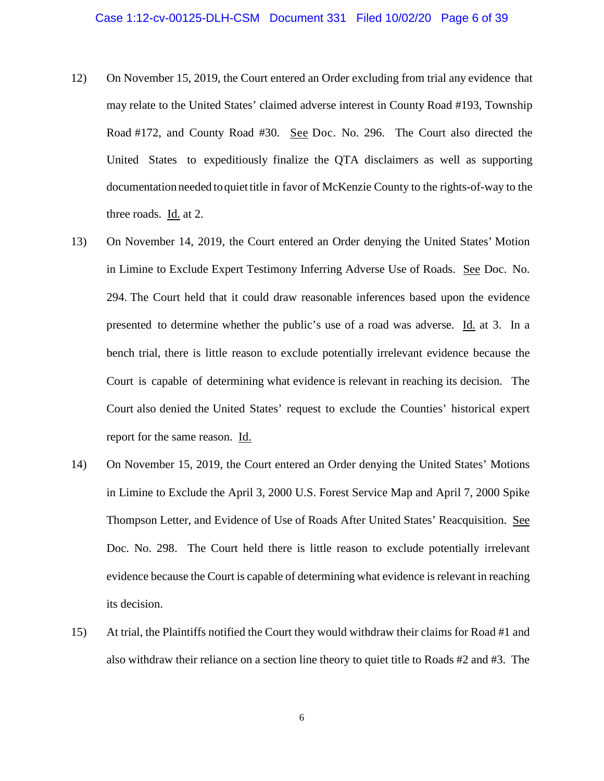- 12) On November 15, 2019, the Court entered an Order excluding from trial any evidence that may relate to the United States' claimed adverse interest in County Road #193, Township Road #172, and County Road #30. See Doc. No. 296. The Court also directed the United States to expeditiously finalize the QTA disclaimers as well as supporting documentation needed to quiet title in favor of McKenzie County to the rights-of-way to the three roads.  $\underline{Id}$  at 2.
- 13) On November 14, 2019, the Court entered an Order denying the United States' Motion in Limine to Exclude Expert Testimony Inferring Adverse Use of Roads. See Doc. No. 294. The Court held that it could draw reasonable inferences based upon the evidence presented to determine whether the public's use of a road was adverse. Id. at 3. In a bench trial, there is little reason to exclude potentially irrelevant evidence because the Court is capable of determining what evidence is relevant in reaching its decision. The Court also denied the United States' request to exclude the Counties' historical expert report for the same reason. Id.
- 14) On November 15, 2019, the Court entered an Order denying the United States' Motions in Limine to Exclude the April 3, 2000 U.S. Forest Service Map and April 7, 2000 Spike Thompson Letter, and Evidence of Use of Roads After United States' Reacquisition. See Doc. No. 298. The Court held there is little reason to exclude potentially irrelevant evidence because the Court is capable of determining what evidence is relevant in reaching its decision.
- 15) At trial, the Plaintiffs notified the Court they would withdraw their claims for Road #1 and also withdraw their reliance on a section line theory to quiet title to Roads #2 and #3. The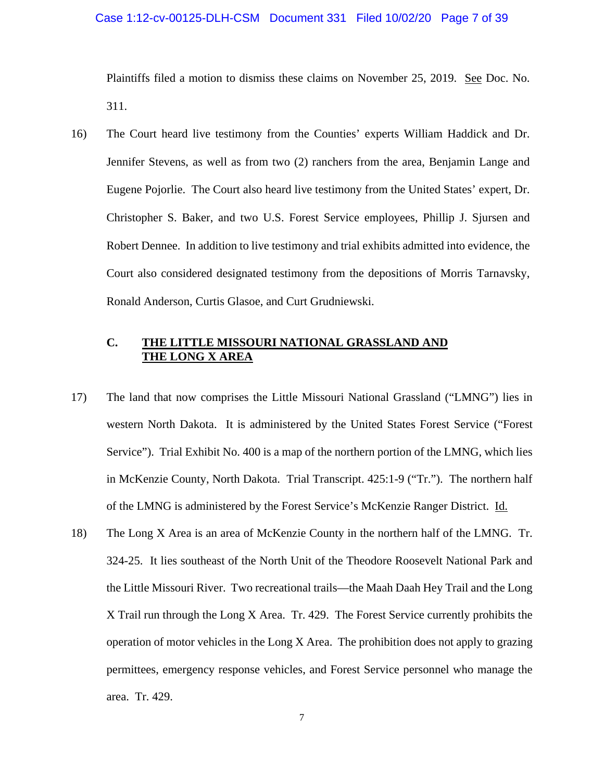### Case 1:12-cv-00125-DLH-CSM Document 331 Filed 10/02/20 Page 7 of 39

Plaintiffs filed a motion to dismiss these claims on November 25, 2019. See Doc. No. 311.

16) The Court heard live testimony from the Counties' experts William Haddick and Dr. Jennifer Stevens, as well as from two (2) ranchers from the area, Benjamin Lange and Eugene Pojorlie. The Court also heard live testimony from the United States' expert, Dr. Christopher S. Baker, and two U.S. Forest Service employees, Phillip J. Sjursen and Robert Dennee. In addition to live testimony and trial exhibits admitted into evidence, the Court also considered designated testimony from the depositions of Morris Tarnavsky, Ronald Anderson, Curtis Glasoe, and Curt Grudniewski.

# **C. THE LITTLE MISSOURI NATIONAL GRASSLAND AND THE LONG X AREA**

- 17) The land that now comprises the Little Missouri National Grassland ("LMNG") lies in western North Dakota. It is administered by the United States Forest Service ("Forest Service"). Trial Exhibit No. 400 is a map of the northern portion of the LMNG, which lies in McKenzie County, North Dakota. Trial Transcript. 425:1-9 ("Tr."). The northern half of the LMNG is administered by the Forest Service's McKenzie Ranger District. Id.
- 18) The Long X Area is an area of McKenzie County in the northern half of the LMNG. Tr. 324-25. It lies southeast of the North Unit of the Theodore Roosevelt National Park and the Little Missouri River. Two recreational trails—the Maah Daah Hey Trail and the Long X Trail run through the Long X Area. Tr. 429. The Forest Service currently prohibits the operation of motor vehicles in the Long X Area. The prohibition does not apply to grazing permittees, emergency response vehicles, and Forest Service personnel who manage the area. Tr. 429.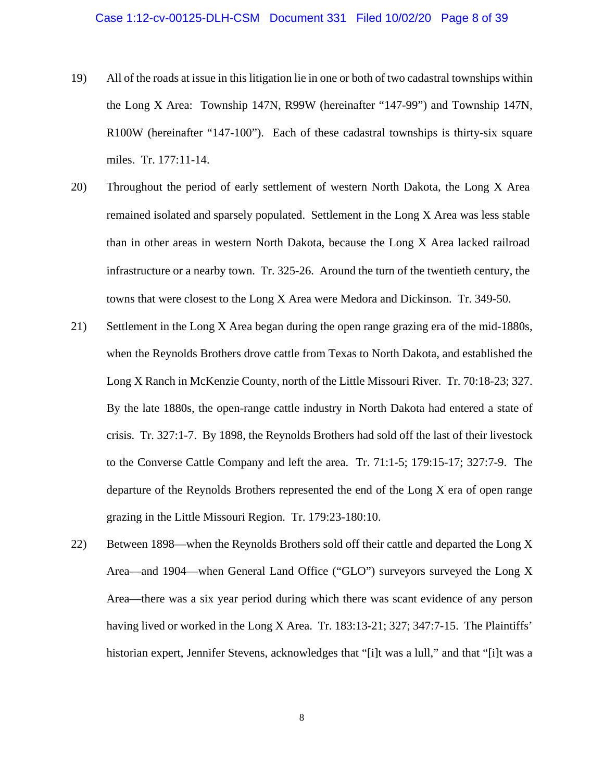- 19) All of the roads at issue in this litigation lie in one or both of two cadastral townships within the Long X Area: Township 147N, R99W (hereinafter "147-99") and Township 147N, R100W (hereinafter "147-100"). Each of these cadastral townships is thirty-six square miles. Tr. 177:11-14.
- 20) Throughout the period of early settlement of western North Dakota, the Long X Area remained isolated and sparsely populated. Settlement in the Long X Area was less stable than in other areas in western North Dakota, because the Long X Area lacked railroad infrastructure or a nearby town. Tr. 325-26. Around the turn of the twentieth century, the towns that were closest to the Long X Area were Medora and Dickinson. Tr. 349-50.
- 21) Settlement in the Long X Area began during the open range grazing era of the mid-1880s, when the Reynolds Brothers drove cattle from Texas to North Dakota, and established the Long X Ranch in McKenzie County, north of the Little Missouri River. Tr. 70:18-23; 327. By the late 1880s, the open-range cattle industry in North Dakota had entered a state of crisis. Tr. 327:1-7. By 1898, the Reynolds Brothers had sold off the last of their livestock to the Converse Cattle Company and left the area. Tr. 71:1-5; 179:15-17; 327:7-9. The departure of the Reynolds Brothers represented the end of the Long X era of open range grazing in the Little Missouri Region. Tr. 179:23-180:10.
- 22) Between 1898—when the Reynolds Brothers sold off their cattle and departed the Long X Area—and 1904—when General Land Office ("GLO") surveyors surveyed the Long X Area—there was a six year period during which there was scant evidence of any person having lived or worked in the Long X Area. Tr. 183:13-21; 327; 347:7-15. The Plaintiffs' historian expert, Jennifer Stevens, acknowledges that "[i]t was a lull," and that "[i]t was a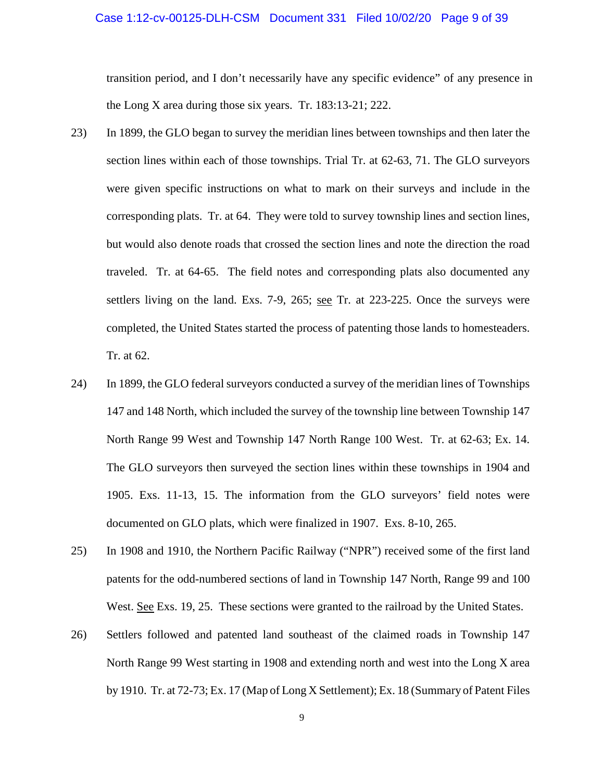### Case 1:12-cv-00125-DLH-CSM Document 331 Filed 10/02/20 Page 9 of 39

transition period, and I don't necessarily have any specific evidence" of any presence in the Long X area during those six years. Tr. 183:13-21; 222.

- 23) In 1899, the GLO began to survey the meridian lines between townships and then later the section lines within each of those townships. Trial Tr. at 62-63, 71. The GLO surveyors were given specific instructions on what to mark on their surveys and include in the corresponding plats. Tr. at 64. They were told to survey township lines and section lines, but would also denote roads that crossed the section lines and note the direction the road traveled. Tr. at 64-65. The field notes and corresponding plats also documented any settlers living on the land. Exs. 7-9, 265; see Tr. at 223-225. Once the surveys were completed, the United States started the process of patenting those lands to homesteaders. Tr. at 62.
- 24) In 1899, the GLO federal surveyors conducted a survey of the meridian lines of Townships 147 and 148 North, which included the survey of the township line between Township 147 North Range 99 West and Township 147 North Range 100 West. Tr. at 62-63; Ex. 14. The GLO surveyors then surveyed the section lines within these townships in 1904 and 1905. Exs. 11-13, 15. The information from the GLO surveyors' field notes were documented on GLO plats, which were finalized in 1907. Exs. 8-10, 265.
- 25) In 1908 and 1910, the Northern Pacific Railway ("NPR") received some of the first land patents for the odd-numbered sections of land in Township 147 North, Range 99 and 100 West. See Exs. 19, 25. These sections were granted to the railroad by the United States.
- 26) Settlers followed and patented land southeast of the claimed roads in Township 147 North Range 99 West starting in 1908 and extending north and west into the Long X area by 1910. Tr. at 72-73; Ex. 17 (Map of Long X Settlement); Ex. 18 (Summary of Patent Files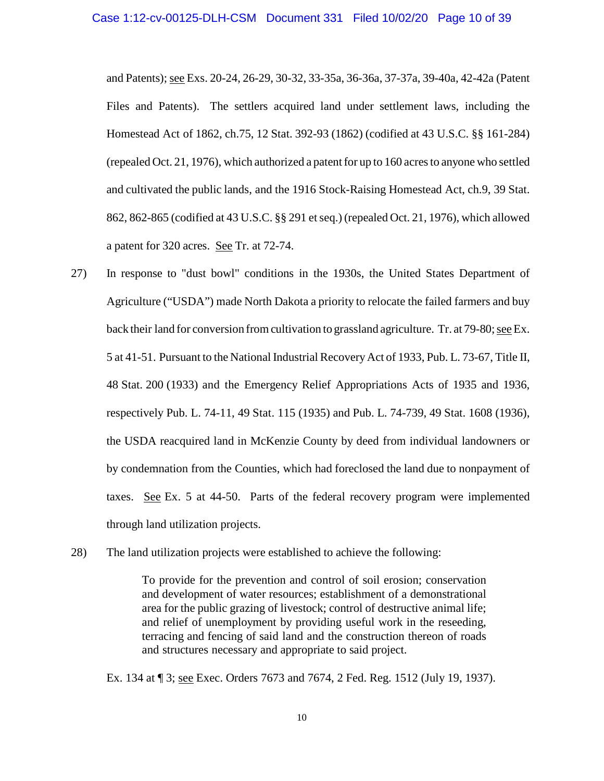and Patents); see Exs. 20-24, 26-29, 30-32, 33-35a, 36-36a, 37-37a, 39-40a, 42-42a (Patent Files and Patents). The settlers acquired land under settlement laws, including the Homestead Act of 1862, ch.75, 12 Stat. 392-93 (1862) (codified at 43 U.S.C. §§ 161-284) (repealed Oct. 21, 1976), which authorized a patent for up to 160 acres to anyone who settled and cultivated the public lands, and the 1916 Stock-Raising Homestead Act, ch.9, 39 Stat. 862, 862-865 (codified at 43 U.S.C. §§ 291 et seq.) (repealed Oct. 21, 1976), which allowed a patent for 320 acres. See Tr. at 72-74.

- 27) In response to "dust bowl" conditions in the 1930s, the United States Department of Agriculture ("USDA") made North Dakota a priority to relocate the failed farmers and buy back their land for conversion from cultivation to grassland agriculture. Tr. at 79-80; see Ex. 5 at 41-51. Pursuant to the National Industrial Recovery Act of 1933, Pub. L. 73-67, Title II, 48 Stat. 200 (1933) and the Emergency Relief Appropriations Acts of 1935 and 1936, respectively Pub. L. 74-11, 49 Stat. 115 (1935) and Pub. L. 74-739, 49 Stat. 1608 (1936), the USDA reacquired land in McKenzie County by deed from individual landowners or by condemnation from the Counties, which had foreclosed the land due to nonpayment of taxes. See Ex. 5 at 44-50. Parts of the federal recovery program were implemented through land utilization projects.
- 28) The land utilization projects were established to achieve the following:

To provide for the prevention and control of soil erosion; conservation and development of water resources; establishment of a demonstrational area for the public grazing of livestock; control of destructive animal life; and relief of unemployment by providing useful work in the reseeding, terracing and fencing of said land and the construction thereon of roads and structures necessary and appropriate to said project.

Ex. 134 at ¶ 3; see Exec. Orders 7673 and 7674, 2 Fed. Reg. 1512 (July 19, 1937).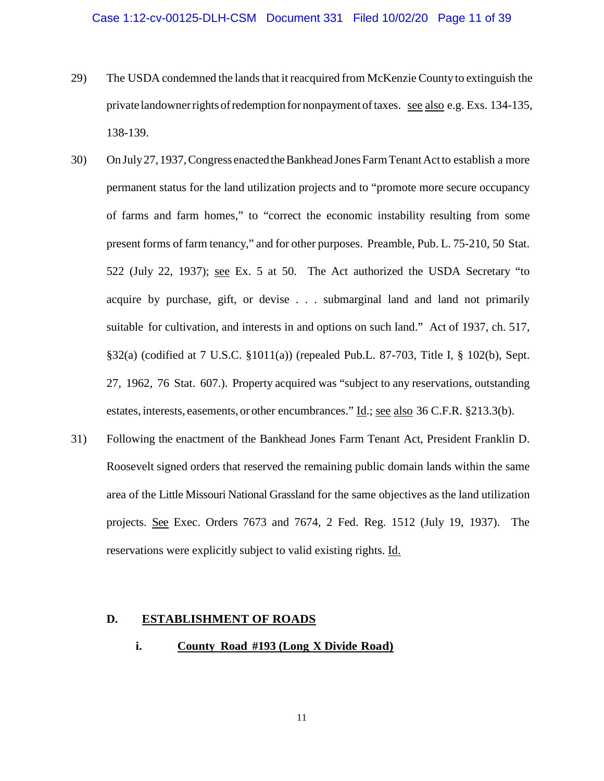- 29) The USDA condemned the lands that it reacquired from McKenzie County to extinguish the private landowner rights of redemption for nonpayment of taxes. see also e.g. Exs. 134-135, 138-139.
- 30) On July 27, 1937, Congress enacted the Bankhead Jones Farm Tenant Act to establish a more permanent status for the land utilization projects and to "promote more secure occupancy of farms and farm homes," to "correct the economic instability resulting from some present forms of farm tenancy," and for other purposes. Preamble, Pub. L. 75-210, 50 Stat. 522 (July 22, 1937); see Ex. 5 at 50. The Act authorized the USDA Secretary "to acquire by purchase, gift, or devise . . . submarginal land and land not primarily suitable for cultivation, and interests in and options on such land." Act of 1937, ch. 517, §32(a) (codified at 7 U.S.C. §1011(a)) (repealed Pub.L. 87-703, Title I, § 102(b), Sept. 27, 1962, 76 Stat. 607.). Property acquired was "subject to any reservations, outstanding estates, interests, easements, or other encumbrances." Id.; see also 36 C.F.R. §213.3(b).
- 31) Following the enactment of the Bankhead Jones Farm Tenant Act, President Franklin D. Roosevelt signed orders that reserved the remaining public domain lands within the same area of the Little Missouri National Grassland for the same objectives as the land utilization projects. See Exec. Orders 7673 and 7674, 2 Fed. Reg. 1512 (July 19, 1937). The reservations were explicitly subject to valid existing rights. Id.

# **D. ESTABLISHMENT OF ROADS**

**i. County Road #193 (Long X Divide Road)**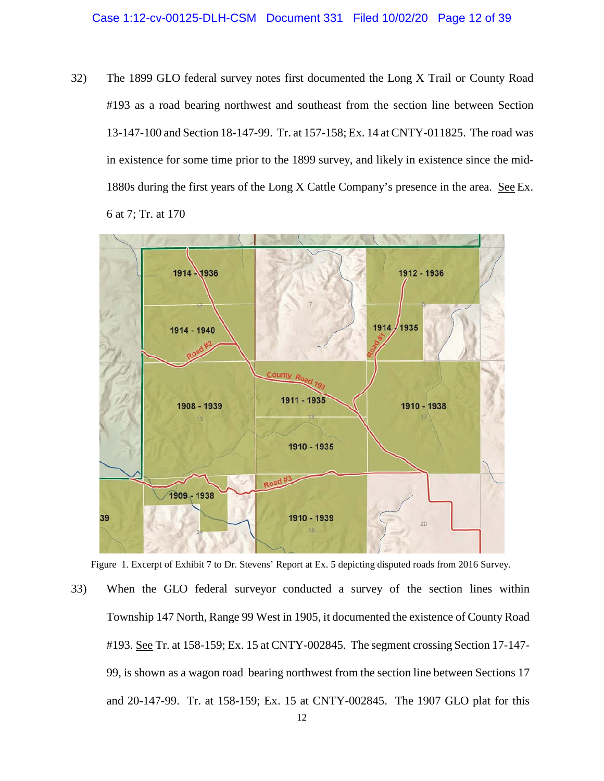32) The 1899 GLO federal survey notes first documented the Long X Trail or County Road #193 as a road bearing northwest and southeast from the section line between Section 13-147-100 and Section 18-147-99. Tr. at 157-158; Ex. 14 at CNTY-011825. The road was in existence for some time prior to the 1899 survey, and likely in existence since the mid-1880s during the first years of the Long X Cattle Company's presence in the area. See Ex. 6 at 7; Tr. at 170



Figure 1. Excerpt of Exhibit 7 to Dr. Stevens' Report at Ex. 5 depicting disputed roads from 2016 Survey.

33) When the GLO federal surveyor conducted a survey of the section lines within Township 147 North, Range 99 West in 1905, it documented the existence of County Road #193. See Tr. at 158-159; Ex. 15 at CNTY-002845. The segment crossing Section 17-147- 99, is shown as a wagon road bearing northwest from the section line between Sections 17 and 20-147-99. Tr. at 158-159; Ex. 15 at CNTY-002845. The 1907 GLO plat for this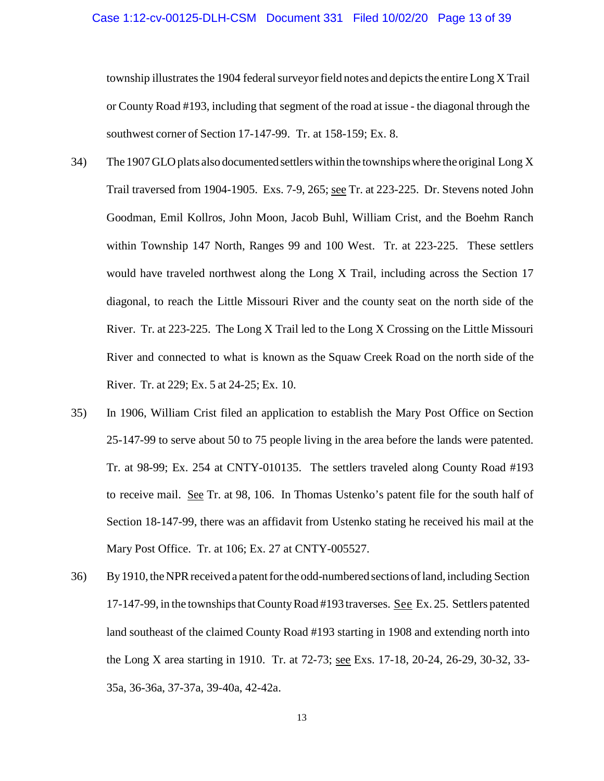township illustrates the 1904 federal surveyor field notes and depicts the entire Long X Trail or County Road #193, including that segment of the road at issue - the diagonal through the southwest corner of Section 17-147-99. Tr. at 158-159; Ex. 8.

- 34) The 1907 GLO plats also documented settlers within the townships where the original Long X Trail traversed from 1904-1905. Exs. 7-9, 265; see Tr. at 223-225. Dr. Stevens noted John Goodman, Emil Kollros, John Moon, Jacob Buhl, William Crist, and the Boehm Ranch within Township 147 North, Ranges 99 and 100 West. Tr. at 223-225. These settlers would have traveled northwest along the Long X Trail, including across the Section 17 diagonal, to reach the Little Missouri River and the county seat on the north side of the River. Tr. at 223-225. The Long X Trail led to the Long X Crossing on the Little Missouri River and connected to what is known as the Squaw Creek Road on the north side of the River. Tr. at 229; Ex. 5 at 24-25; Ex. 10.
- 35) In 1906, William Crist filed an application to establish the Mary Post Office on Section 25-147-99 to serve about 50 to 75 people living in the area before the lands were patented. Tr. at 98-99; Ex. 254 at CNTY-010135. The settlers traveled along County Road #193 to receive mail. See Tr. at 98, 106. In Thomas Ustenko's patent file for the south half of Section 18-147-99, there was an affidavit from Ustenko stating he received his mail at the Mary Post Office. Tr. at 106; Ex. 27 at CNTY-005527.
- 36) By 1910, the NPR received a patent for the odd-numbered sections of land, including Section 17-147-99, in the townships that County Road #193 traverses. See Ex. 25. Settlers patented land southeast of the claimed County Road #193 starting in 1908 and extending north into the Long X area starting in 1910. Tr. at 72-73; see Exs. 17-18, 20-24, 26-29, 30-32, 33- 35a, 36-36a, 37-37a, 39-40a, 42-42a.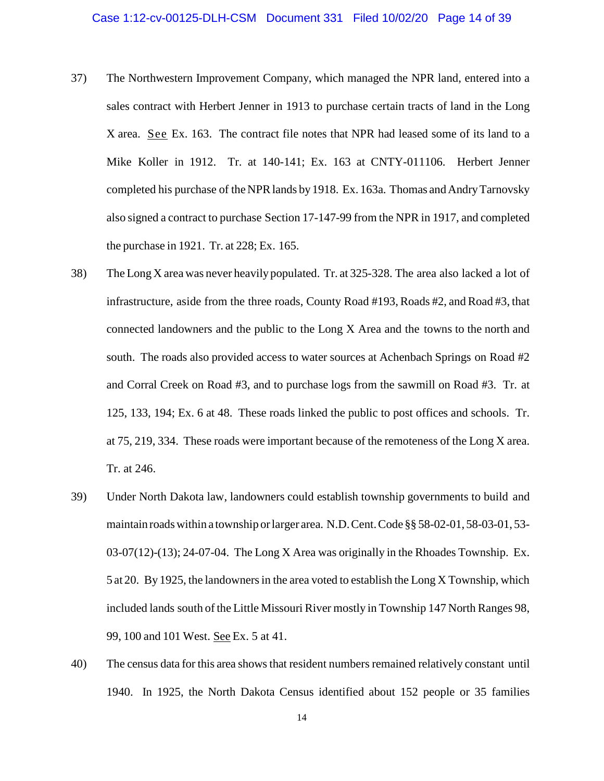- 37) The Northwestern Improvement Company, which managed the NPR land, entered into a sales contract with Herbert Jenner in 1913 to purchase certain tracts of land in the Long X area. See Ex. 163. The contract file notes that NPR had leased some of its land to a Mike Koller in 1912. Tr. at 140-141; Ex. 163 at CNTY-011106. Herbert Jenner completed his purchase of the NPR lands by 1918. Ex. 163a. Thomas and Andry Tarnovsky also signed a contract to purchase Section 17-147-99 from the NPR in 1917, and completed the purchase in 1921. Tr. at 228; Ex. 165.
- 38) The Long X area was never heavily populated. Tr. at 325-328. The area also lacked a lot of infrastructure, aside from the three roads, County Road #193, Roads #2, and Road #3, that connected landowners and the public to the Long X Area and the towns to the north and south. The roads also provided access to water sources at Achenbach Springs on Road #2 and Corral Creek on Road #3, and to purchase logs from the sawmill on Road #3. Tr. at 125, 133, 194; Ex. 6 at 48. These roads linked the public to post offices and schools. Tr. at 75, 219, 334. These roads were important because of the remoteness of the Long X area. Tr. at 246.
- 39) Under North Dakota law, landowners could establish township governments to build and maintain roads within a township or larger area. N.D. Cent. Code §§ 58-02-01, 58-03-01, 53- 03-07(12)-(13); 24-07-04. The Long X Area was originally in the Rhoades Township. Ex. 5 at 20. By 1925, the landowners in the area voted to establish the Long X Township, which included lands south of the Little Missouri River mostly in Township 147 North Ranges 98, 99, 100 and 101 West. See Ex. 5 at 41.
- 40) The census data for this area shows that resident numbers remained relatively constant until 1940. In 1925, the North Dakota Census identified about 152 people or 35 families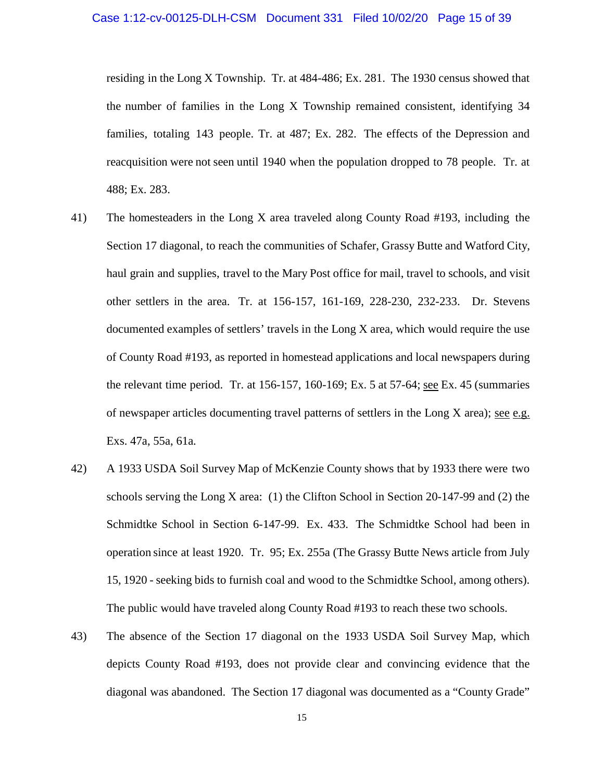residing in the Long X Township. Tr. at 484-486; Ex. 281. The 1930 census showed that the number of families in the Long X Township remained consistent, identifying 34 families, totaling 143 people. Tr. at 487; Ex. 282. The effects of the Depression and reacquisition were not seen until 1940 when the population dropped to 78 people. Tr. at 488; Ex. 283.

- 41) The homesteaders in the Long X area traveled along County Road #193, including the Section 17 diagonal, to reach the communities of Schafer, Grassy Butte and Watford City, haul grain and supplies, travel to the Mary Post office for mail, travel to schools, and visit other settlers in the area. Tr. at 156-157, 161-169, 228-230, 232-233. Dr. Stevens documented examples of settlers' travels in the Long X area, which would require the use of County Road #193, as reported in homestead applications and local newspapers during the relevant time period. Tr. at 156-157, 160-169; Ex. 5 at 57-64; see Ex. 45 (summaries of newspaper articles documenting travel patterns of settlers in the Long X area); see e.g. Exs. 47a, 55a, 61a.
- 42) A 1933 USDA Soil Survey Map of McKenzie County shows that by 1933 there were two schools serving the Long X area: (1) the Clifton School in Section 20-147-99 and (2) the Schmidtke School in Section 6-147-99. Ex. 433. The Schmidtke School had been in operation since at least 1920. Tr. 95; Ex. 255a (The Grassy Butte News article from July 15, 1920 - seeking bids to furnish coal and wood to the Schmidtke School, among others). The public would have traveled along County Road #193 to reach these two schools.
- 43) The absence of the Section 17 diagonal on the 1933 USDA Soil Survey Map, which depicts County Road #193, does not provide clear and convincing evidence that the diagonal was abandoned. The Section 17 diagonal was documented as a "County Grade"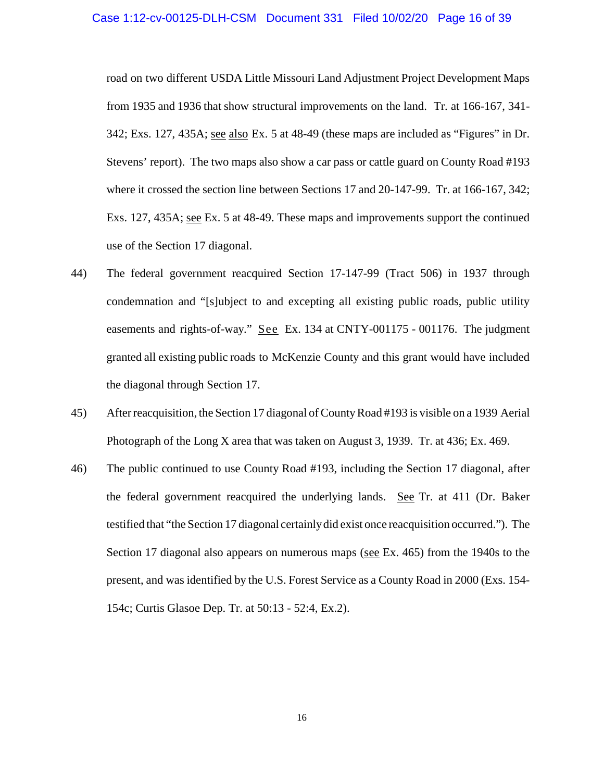road on two different USDA Little Missouri Land Adjustment Project Development Maps from 1935 and 1936 that show structural improvements on the land. Tr. at 166-167, 341- 342; Exs. 127, 435A; see also Ex. 5 at 48-49 (these maps are included as "Figures" in Dr. Stevens' report). The two maps also show a car pass or cattle guard on County Road #193 where it crossed the section line between Sections 17 and 20-147-99. Tr. at 166-167, 342; Exs. 127, 435A; see Ex. 5 at 48-49. These maps and improvements support the continued use of the Section 17 diagonal.

- 44) The federal government reacquired Section 17-147-99 (Tract 506) in 1937 through condemnation and "[s]ubject to and excepting all existing public roads, public utility easements and rights-of-way." See Ex. 134 at CNTY-001175 - 001176. The judgment granted all existing public roads to McKenzie County and this grant would have included the diagonal through Section 17.
- 45) After reacquisition, the Section 17 diagonal of County Road #193 is visible on a 1939 Aerial Photograph of the Long X area that was taken on August 3, 1939. Tr. at 436; Ex. 469.
- 46) The public continued to use County Road #193, including the Section 17 diagonal, after the federal government reacquired the underlying lands. See Tr. at 411 (Dr. Baker testified that "the Section 17 diagonal certainly did exist once reacquisition occurred."). The Section 17 diagonal also appears on numerous maps (see Ex. 465) from the 1940s to the present, and was identified by the U.S. Forest Service as a County Road in 2000 (Exs. 154- 154c; Curtis Glasoe Dep. Tr. at 50:13 - 52:4, Ex.2).

16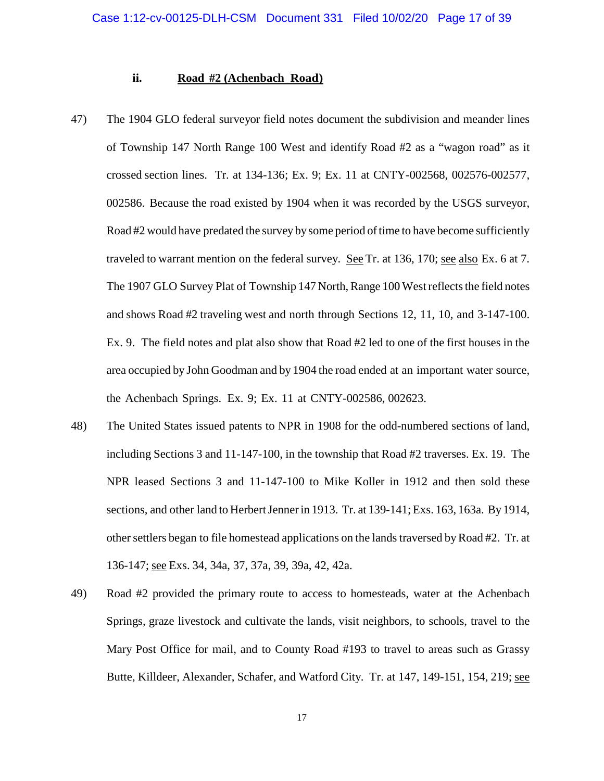### **ii. Road #2 (Achenbach Road)**

- 47) The 1904 GLO federal surveyor field notes document the subdivision and meander lines of Township 147 North Range 100 West and identify Road #2 as a "wagon road" as it crossed section lines. Tr. at 134-136; Ex. 9; Ex. 11 at CNTY-002568, 002576-002577, 002586. Because the road existed by 1904 when it was recorded by the USGS surveyor, Road #2 would have predated the survey by some period of time to have become sufficiently traveled to warrant mention on the federal survey. See Tr. at 136, 170; see also Ex. 6 at 7. The 1907 GLO Survey Plat of Township 147 North, Range 100 West reflects the field notes and shows Road #2 traveling west and north through Sections 12, 11, 10, and 3-147-100. Ex. 9. The field notes and plat also show that Road #2 led to one of the first houses in the area occupied by John Goodman and by 1904 the road ended at an important water source, the Achenbach Springs. Ex. 9; Ex. 11 at CNTY-002586, 002623.
- 48) The United States issued patents to NPR in 1908 for the odd-numbered sections of land, including Sections 3 and 11-147-100, in the township that Road #2 traverses. Ex. 19. The NPR leased Sections 3 and 11-147-100 to Mike Koller in 1912 and then sold these sections, and other land to Herbert Jenner in 1913. Tr. at 139-141; Exs. 163, 163a. By 1914, other settlers began to file homestead applications on the lands traversed by Road #2. Tr. at 136-147; see Exs. 34, 34a, 37, 37a, 39, 39a, 42, 42a.
- 49) Road #2 provided the primary route to access to homesteads, water at the Achenbach Springs, graze livestock and cultivate the lands, visit neighbors, to schools, travel to the Mary Post Office for mail, and to County Road #193 to travel to areas such as Grassy Butte, Killdeer, Alexander, Schafer, and Watford City. Tr. at 147, 149-151, 154, 219; see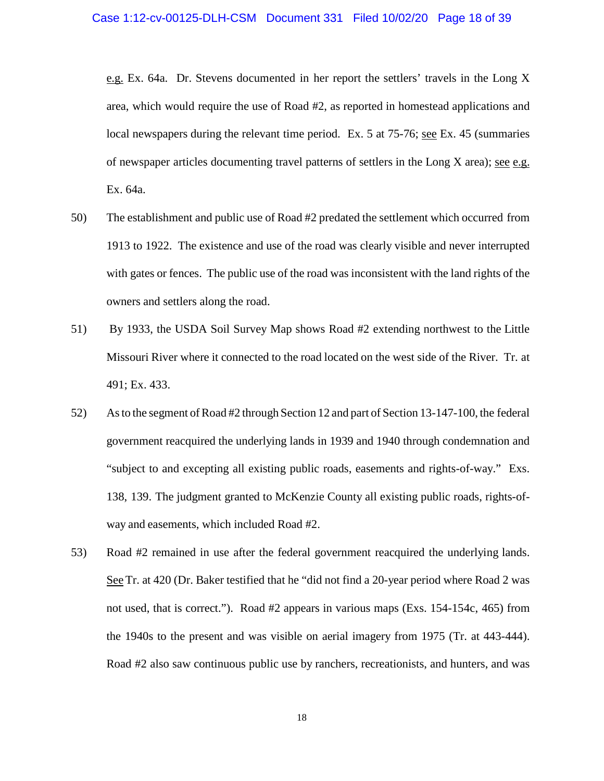e.g. Ex. 64a. Dr. Stevens documented in her report the settlers' travels in the Long X area, which would require the use of Road #2, as reported in homestead applications and local newspapers during the relevant time period. Ex. 5 at 75-76; see Ex. 45 (summaries of newspaper articles documenting travel patterns of settlers in the Long  $X$  area); <u>see e.g.</u> Ex. 64a.

- 50) The establishment and public use of Road #2 predated the settlement which occurred from 1913 to 1922. The existence and use of the road was clearly visible and never interrupted with gates or fences. The public use of the road was inconsistent with the land rights of the owners and settlers along the road.
- 51) By 1933, the USDA Soil Survey Map shows Road #2 extending northwest to the Little Missouri River where it connected to the road located on the west side of the River. Tr. at 491; Ex. 433.
- 52) As to the segment of Road #2 through Section 12 and part of Section 13-147-100, the federal government reacquired the underlying lands in 1939 and 1940 through condemnation and "subject to and excepting all existing public roads, easements and rights-of-way." Exs. 138, 139. The judgment granted to McKenzie County all existing public roads, rights-ofway and easements, which included Road #2.
- 53) Road #2 remained in use after the federal government reacquired the underlying lands. See Tr. at 420 (Dr. Baker testified that he "did not find a 20-year period where Road 2 was not used, that is correct."). Road #2 appears in various maps (Exs. 154-154c, 465) from the 1940s to the present and was visible on aerial imagery from 1975 (Tr. at 443-444). Road #2 also saw continuous public use by ranchers, recreationists, and hunters, and was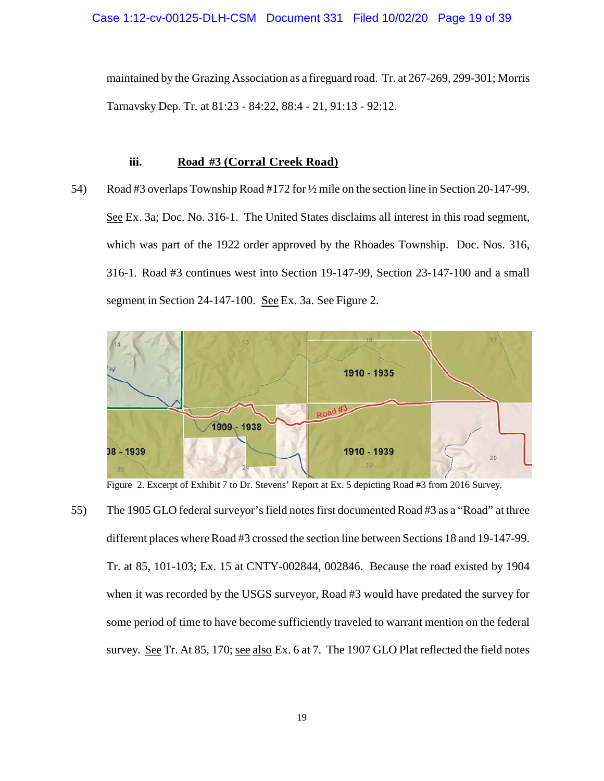maintained by the Grazing Association as a fireguard road. Tr. at 267-269, 299-301; Morris Tarnavsky Dep. Tr. at 81:23 - 84:22, 88:4 - 21, 91:13 - 92:12.

### **iii. Road #3 (Corral Creek Road)**

54) Road #3 overlaps Township Road #172 for ½ mile on the section line in Section 20-147-99. See Ex. 3a; Doc. No. 316-1. The United States disclaims all interest in this road segment, which was part of the 1922 order approved by the Rhoades Township. Doc. Nos. 316, 316-1. Road #3 continues west into Section 19-147-99, Section 23-147-100 and a small segment in Section 24-147-100. See Ex. 3a. See Figure 2.



Figure 2. Excerpt of Exhibit 7 to Dr. Stevens' Report at Ex. 5 depicting Road #3 from 2016 Survey.

55) The 1905 GLO federal surveyor's field notes first documented Road #3 as a "Road" at three different places where Road #3 crossed the section line between Sections 18 and 19-147-99. Tr. at 85, 101-103; Ex. 15 at CNTY-002844, 002846. Because the road existed by 1904 when it was recorded by the USGS surveyor, Road #3 would have predated the survey for some period of time to have become sufficiently traveled to warrant mention on the federal survey. See Tr. At 85, 170; see also Ex. 6 at 7. The 1907 GLO Plat reflected the field notes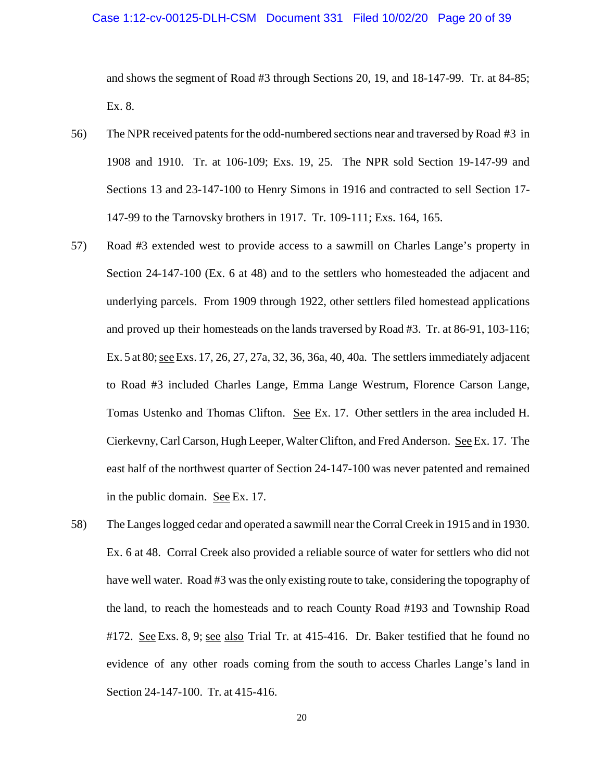### Case 1:12-cv-00125-DLH-CSM Document 331 Filed 10/02/20 Page 20 of 39

and shows the segment of Road #3 through Sections 20, 19, and 18-147-99. Tr. at 84-85; Ex. 8.

- 56) The NPR received patents for the odd-numbered sections near and traversed by Road #3 in 1908 and 1910. Tr. at 106-109; Exs. 19, 25. The NPR sold Section 19-147-99 and Sections 13 and 23-147-100 to Henry Simons in 1916 and contracted to sell Section 17- 147-99 to the Tarnovsky brothers in 1917. Tr. 109-111; Exs. 164, 165.
- 57) Road #3 extended west to provide access to a sawmill on Charles Lange's property in Section 24-147-100 (Ex. 6 at 48) and to the settlers who homesteaded the adjacent and underlying parcels. From 1909 through 1922, other settlers filed homestead applications and proved up their homesteads on the lands traversed by Road #3. Tr. at 86-91, 103-116; Ex. 5 at 80; see Exs. 17, 26, 27, 27a, 32, 36, 36a, 40, 40a. The settlers immediately adjacent to Road #3 included Charles Lange, Emma Lange Westrum, Florence Carson Lange, Tomas Ustenko and Thomas Clifton. See Ex. 17. Other settlers in the area included H. Cierkevny, Carl Carson, Hugh Leeper, Walter Clifton, and Fred Anderson. See Ex. 17. The east half of the northwest quarter of Section 24-147-100 was never patented and remained in the public domain. See Ex. 17.
- 58) The Langes logged cedar and operated a sawmill near the Corral Creek in 1915 and in 1930. Ex. 6 at 48. Corral Creek also provided a reliable source of water for settlers who did not have well water. Road #3 was the only existing route to take, considering the topography of the land, to reach the homesteads and to reach County Road #193 and Township Road #172. See Exs. 8, 9; see also Trial Tr. at 415-416. Dr. Baker testified that he found no evidence of any other roads coming from the south to access Charles Lange's land in Section 24-147-100. Tr. at 415-416.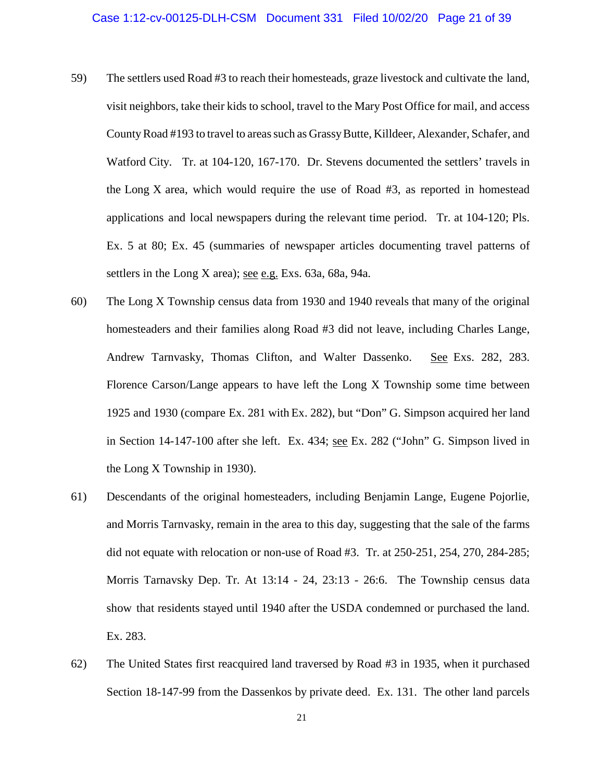- 59) The settlers used Road #3 to reach their homesteads, graze livestock and cultivate the land, visit neighbors, take their kids to school, travel to the Mary Post Office for mail, and access County Road #193 to travel to areas such as Grassy Butte, Killdeer, Alexander, Schafer, and Watford City. Tr. at 104-120, 167-170. Dr. Stevens documented the settlers' travels in the Long X area, which would require the use of Road #3, as reported in homestead applications and local newspapers during the relevant time period. Tr. at 104-120; Pls. Ex. 5 at 80; Ex. 45 (summaries of newspaper articles documenting travel patterns of settlers in the Long X area); see e.g. Exs. 63a, 68a, 94a.
- 60) The Long X Township census data from 1930 and 1940 reveals that many of the original homesteaders and their families along Road #3 did not leave, including Charles Lange, Andrew Tarnvasky, Thomas Clifton, and Walter Dassenko. See Exs. 282, 283. Florence Carson/Lange appears to have left the Long X Township some time between 1925 and 1930 (compare Ex. 281 with Ex. 282), but "Don" G. Simpson acquired her land in Section 14-147-100 after she left. Ex. 434; see Ex. 282 ("John" G. Simpson lived in the Long X Township in 1930).
- 61) Descendants of the original homesteaders, including Benjamin Lange, Eugene Pojorlie, and Morris Tarnvasky, remain in the area to this day, suggesting that the sale of the farms did not equate with relocation or non-use of Road #3. Tr. at 250-251, 254, 270, 284-285; Morris Tarnavsky Dep. Tr. At 13:14 - 24, 23:13 - 26:6. The Township census data show that residents stayed until 1940 after the USDA condemned or purchased the land. Ex. 283.
- 62) The United States first reacquired land traversed by Road #3 in 1935, when it purchased Section 18-147-99 from the Dassenkos by private deed. Ex. 131. The other land parcels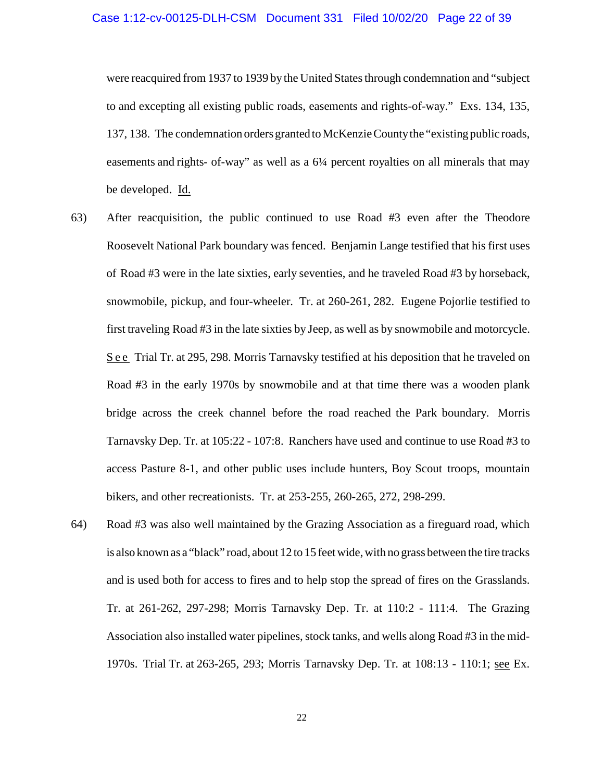were reacquired from 1937 to 1939 by the United States through condemnation and "subject to and excepting all existing public roads, easements and rights-of-way." Exs. 134, 135, 137, 138. The condemnation orders granted to McKenzie County the "existing public roads, easements and rights- of-way" as well as a 6¼ percent royalties on all minerals that may be developed. Id.

- 63) After reacquisition, the public continued to use Road #3 even after the Theodore Roosevelt National Park boundary was fenced. Benjamin Lange testified that his first uses of Road #3 were in the late sixties, early seventies, and he traveled Road #3 by horseback, snowmobile, pickup, and four-wheeler. Tr. at 260-261, 282. Eugene Pojorlie testified to first traveling Road #3 in the late sixties by Jeep, as well as by snowmobile and motorcycle. S e e Trial Tr. at 295, 298. Morris Tarnavsky testified at his deposition that he traveled on Road #3 in the early 1970s by snowmobile and at that time there was a wooden plank bridge across the creek channel before the road reached the Park boundary. Morris Tarnavsky Dep. Tr. at 105:22 - 107:8. Ranchers have used and continue to use Road #3 to access Pasture 8-1, and other public uses include hunters, Boy Scout troops, mountain bikers, and other recreationists. Tr. at 253-255, 260-265, 272, 298-299.
- 64) Road #3 was also well maintained by the Grazing Association as a fireguard road, which is also known as a "black" road, about 12 to 15 feet wide, with no grass between the tire tracks and is used both for access to fires and to help stop the spread of fires on the Grasslands. Tr. at 261-262, 297-298; Morris Tarnavsky Dep. Tr. at 110:2 - 111:4. The Grazing Association also installed water pipelines, stock tanks, and wells along Road #3 in the mid-1970s. Trial Tr. at 263-265, 293; Morris Tarnavsky Dep. Tr. at 108:13 - 110:1; see Ex.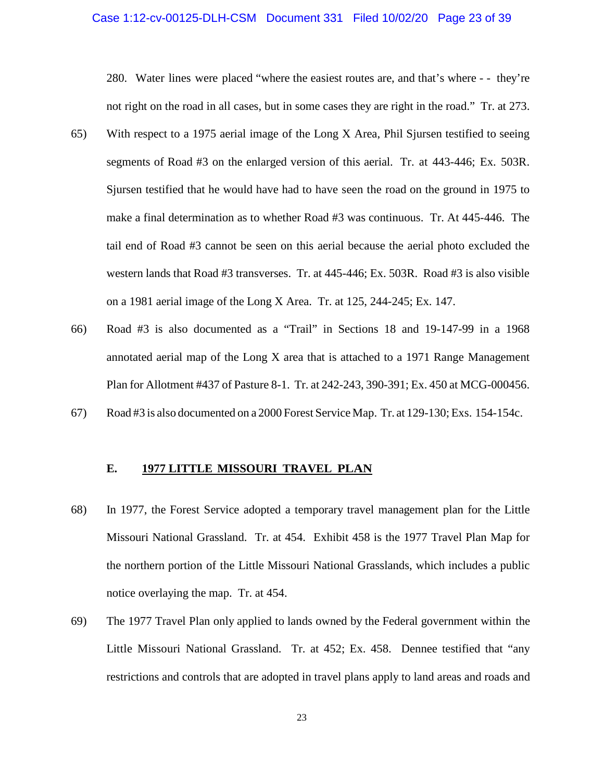# Case 1:12-cv-00125-DLH-CSM Document 331 Filed 10/02/20 Page 23 of 39

280. Water lines were placed "where the easiest routes are, and that's where - - they're not right on the road in all cases, but in some cases they are right in the road." Tr. at 273.

- 65) With respect to a 1975 aerial image of the Long X Area, Phil Sjursen testified to seeing segments of Road #3 on the enlarged version of this aerial. Tr. at 443-446; Ex. 503R. Sjursen testified that he would have had to have seen the road on the ground in 1975 to make a final determination as to whether Road #3 was continuous. Tr. At 445-446. The tail end of Road #3 cannot be seen on this aerial because the aerial photo excluded the western lands that Road #3 transverses. Tr. at 445-446; Ex. 503R. Road #3 is also visible on a 1981 aerial image of the Long X Area. Tr. at 125, 244-245; Ex. 147.
- 66) Road #3 is also documented as a "Trail" in Sections 18 and 19-147-99 in a 1968 annotated aerial map of the Long X area that is attached to a 1971 Range Management Plan for Allotment #437 of Pasture 8-1. Tr. at 242-243, 390-391; Ex. 450 at MCG-000456.
- 67) Road #3 is also documented on a 2000 Forest Service Map. Tr. at 129-130; Exs. 154-154c.

## **E. 1977 LITTLE MISSOURI TRAVEL PLAN**

- 68) In 1977, the Forest Service adopted a temporary travel management plan for the Little Missouri National Grassland. Tr. at 454. Exhibit 458 is the 1977 Travel Plan Map for the northern portion of the Little Missouri National Grasslands, which includes a public notice overlaying the map. Tr. at 454.
- 69) The 1977 Travel Plan only applied to lands owned by the Federal government within the Little Missouri National Grassland. Tr. at 452; Ex. 458. Dennee testified that "any restrictions and controls that are adopted in travel plans apply to land areas and roads and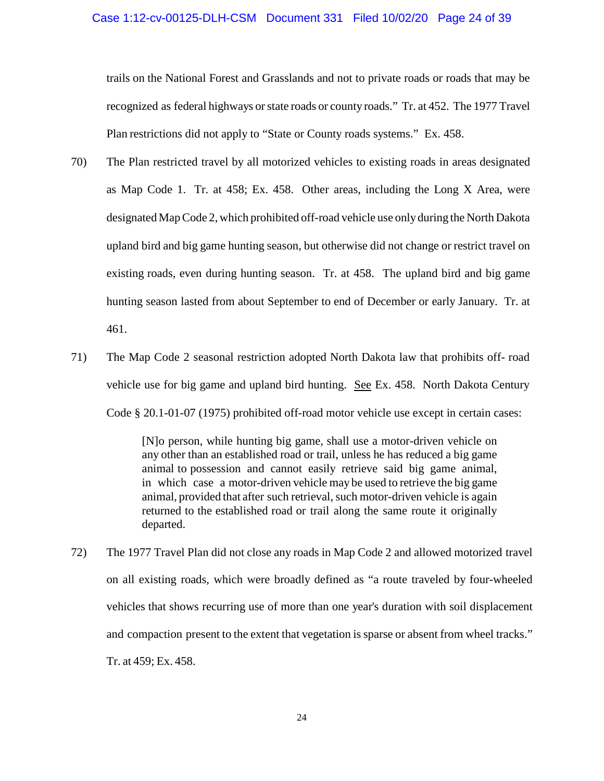trails on the National Forest and Grasslands and not to private roads or roads that may be recognized as federal highways or state roads or county roads." Tr. at 452. The 1977 Travel Plan restrictions did not apply to "State or County roads systems." Ex. 458.

- 70) The Plan restricted travel by all motorized vehicles to existing roads in areas designated as Map Code 1. Tr. at 458; Ex. 458. Other areas, including the Long X Area, were designated Map Code 2, which prohibited off-road vehicle use only during the North Dakota upland bird and big game hunting season, but otherwise did not change or restrict travel on existing roads, even during hunting season. Tr. at 458. The upland bird and big game hunting season lasted from about September to end of December or early January. Tr. at 461.
- 71) The Map Code 2 seasonal restriction adopted North Dakota law that prohibits off- road vehicle use for big game and upland bird hunting. See Ex. 458. North Dakota Century Code § 20.1-01-07 (1975) prohibited off-road motor vehicle use except in certain cases:

[N]o person, while hunting big game, shall use a motor-driven vehicle on any other than an established road or trail, unless he has reduced a big game animal to possession and cannot easily retrieve said big game animal, in which case a motor-driven vehicle may be used to retrieve the big game animal, provided that after such retrieval, such motor-driven vehicle is again returned to the established road or trail along the same route it originally departed.

72) The 1977 Travel Plan did not close any roads in Map Code 2 and allowed motorized travel on all existing roads, which were broadly defined as "a route traveled by four-wheeled vehicles that shows recurring use of more than one year's duration with soil displacement and compaction present to the extent that vegetation is sparse or absent from wheel tracks." Tr. at 459; Ex. 458.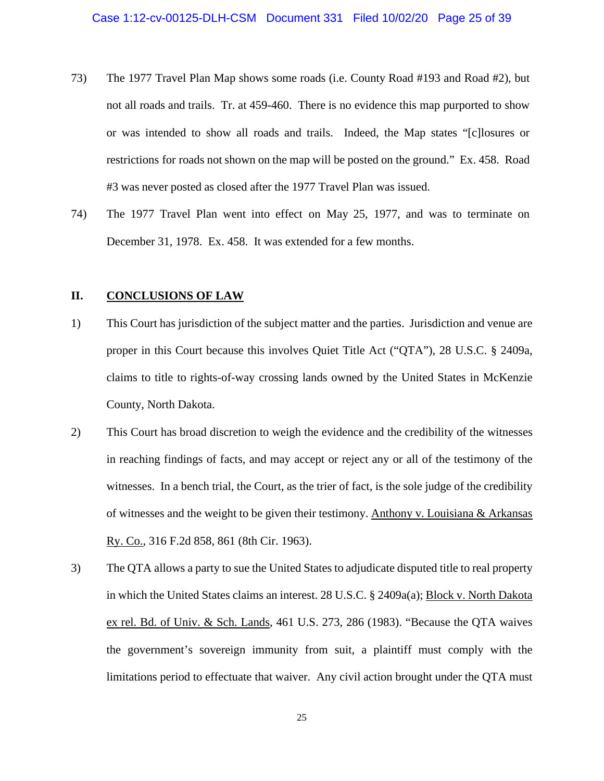- 73) The 1977 Travel Plan Map shows some roads (i.e. County Road #193 and Road #2), but not all roads and trails. Tr. at 459-460. There is no evidence this map purported to show or was intended to show all roads and trails. Indeed, the Map states "[c]losures or restrictions for roads not shown on the map will be posted on the ground." Ex. 458. Road #3 was never posted as closed after the 1977 Travel Plan was issued.
- 74) The 1977 Travel Plan went into effect on May 25, 1977, and was to terminate on December 31, 1978. Ex. 458. It was extended for a few months.

### **II. CONCLUSIONS OF LAW**

- 1) This Court has jurisdiction of the subject matter and the parties. Jurisdiction and venue are proper in this Court because this involves Quiet Title Act ("QTA"), 28 U.S.C. § 2409a, claims to title to rights-of-way crossing lands owned by the United States in McKenzie County, North Dakota.
- 2) This Court has broad discretion to weigh the evidence and the credibility of the witnesses in reaching findings of facts, and may accept or reject any or all of the testimony of the witnesses. In a bench trial, the Court, as the trier of fact, is the sole judge of the credibility of witnesses and the weight to be given their testimony. Anthony v. Louisiana & Arkansas Ry. Co., 316 F.2d 858, 861 (8th Cir. 1963).
- 3) The QTA allows a party to sue the United States to adjudicate disputed title to real property in which the United States claims an interest. 28 U.S.C. § 2409a(a); Block v. North Dakota ex rel. Bd. of Univ. & Sch. Lands, 461 U.S. 273, 286 (1983). "Because the QTA waives the government's sovereign immunity from suit, a plaintiff must comply with the limitations period to effectuate that waiver. Any civil action brought under the QTA must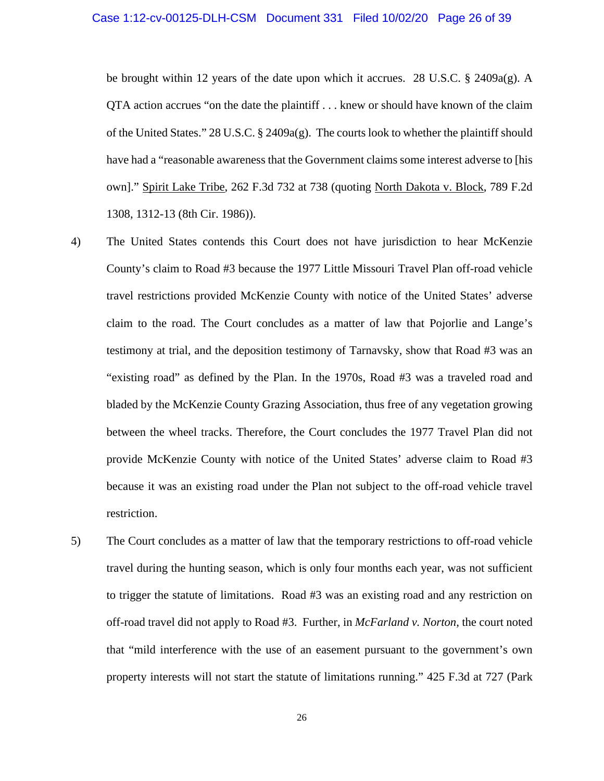be brought within 12 years of the date upon which it accrues. 28 U.S.C.  $\S$  2409a(g). A QTA action accrues "on the date the plaintiff . . . knew or should have known of the claim of the United States." 28 U.S.C. § 2409a(g). The courts look to whether the plaintiff should have had a "reasonable awareness that the Government claims some interest adverse to [his own]." Spirit Lake Tribe, 262 F.3d 732 at 738 (quoting North Dakota v. Block, 789 F.2d 1308, 1312-13 (8th Cir. 1986)).

- 4) The United States contends this Court does not have jurisdiction to hear McKenzie County's claim to Road #3 because the 1977 Little Missouri Travel Plan off-road vehicle travel restrictions provided McKenzie County with notice of the United States' adverse claim to the road. The Court concludes as a matter of law that Pojorlie and Lange's testimony at trial, and the deposition testimony of Tarnavsky, show that Road #3 was an "existing road" as defined by the Plan. In the 1970s, Road #3 was a traveled road and bladed by the McKenzie County Grazing Association, thus free of any vegetation growing between the wheel tracks. Therefore, the Court concludes the 1977 Travel Plan did not provide McKenzie County with notice of the United States' adverse claim to Road #3 because it was an existing road under the Plan not subject to the off-road vehicle travel restriction.
- 5) The Court concludes as a matter of law that the temporary restrictions to off-road vehicle travel during the hunting season, which is only four months each year, was not sufficient to trigger the statute of limitations. Road #3 was an existing road and any restriction on off-road travel did not apply to Road #3. Further, in *McFarland v. Norton*, the court noted that "mild interference with the use of an easement pursuant to the government's own property interests will not start the statute of limitations running." 425 F.3d at 727 (Park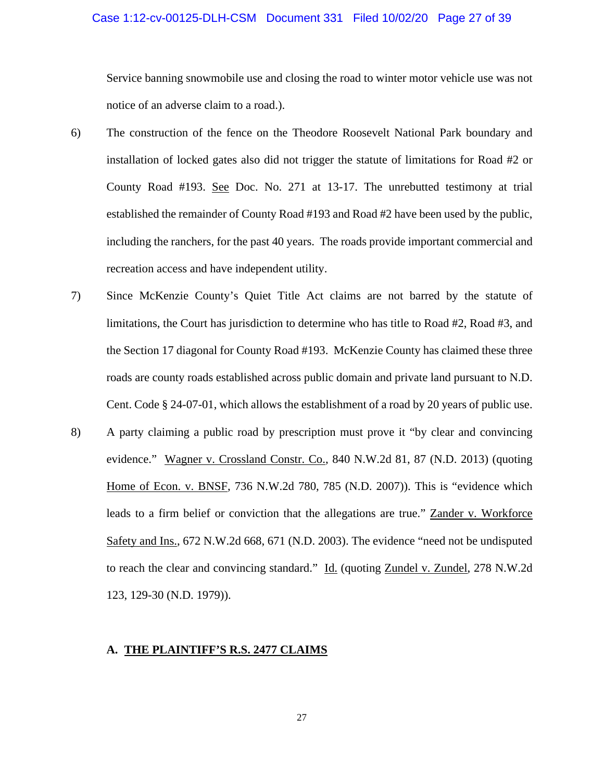### Case 1:12-cv-00125-DLH-CSM Document 331 Filed 10/02/20 Page 27 of 39

Service banning snowmobile use and closing the road to winter motor vehicle use was not notice of an adverse claim to a road.).

- 6) The construction of the fence on the Theodore Roosevelt National Park boundary and installation of locked gates also did not trigger the statute of limitations for Road #2 or County Road #193. See Doc. No. 271 at 13-17. The unrebutted testimony at trial established the remainder of County Road #193 and Road #2 have been used by the public, including the ranchers, for the past 40 years. The roads provide important commercial and recreation access and have independent utility.
- 7) Since McKenzie County's Quiet Title Act claims are not barred by the statute of limitations, the Court has jurisdiction to determine who has title to Road #2, Road #3, and the Section 17 diagonal for County Road #193. McKenzie County has claimed these three roads are county roads established across public domain and private land pursuant to N.D. Cent. Code § 24-07-01, which allows the establishment of a road by 20 years of public use.
- 8) A party claiming a public road by prescription must prove it "by clear and convincing evidence." Wagner v. Crossland Constr. Co., 840 N.W.2d 81, 87 (N.D. 2013) (quoting Home of Econ. v. BNSF, 736 N.W.2d 780, 785 (N.D. 2007)). This is "evidence which leads to a firm belief or conviction that the allegations are true." Zander v. Workforce Safety and Ins., 672 N.W.2d 668, 671 (N.D. 2003). The evidence "need not be undisputed to reach the clear and convincing standard." Id. (quoting Zundel v. Zundel, 278 N.W.2d 123, 129-30 (N.D. 1979)).

### **A. THE PLAINTIFF'S R.S. 2477 CLAIMS**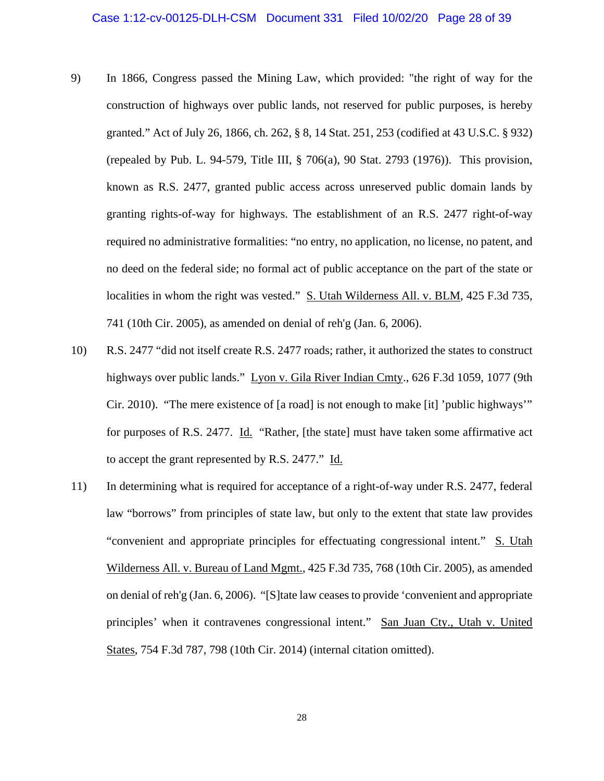- 9) In 1866, Congress passed the Mining Law, which provided: "the right of way for the construction of highways over public lands, not reserved for public purposes, is hereby granted." Act of July 26, 1866, ch. 262, § 8, 14 Stat. 251, 253 (codified at 43 U.S.C. § 932) (repealed by Pub. L. 94-579, Title III, § 706(a), 90 Stat. 2793 (1976)). This provision, known as R.S. 2477, granted public access across unreserved public domain lands by granting rights-of-way for highways. The establishment of an R.S. 2477 right-of-way required no administrative formalities: "no entry, no application, no license, no patent, and no deed on the federal side; no formal act of public acceptance on the part of the state or localities in whom the right was vested." S. Utah Wilderness All. v. BLM, 425 F.3d 735, 741 (10th Cir. 2005), as amended on denial of reh'g (Jan. 6, 2006).
- 10) R.S. 2477 "did not itself create R.S. 2477 roads; rather, it authorized the states to construct highways over public lands." Lyon v. Gila River Indian Cmty., 626 F.3d 1059, 1077 (9th Cir. 2010). "The mere existence of [a road] is not enough to make [it] 'public highways'" for purposes of R.S. 2477. Id. "Rather, [the state] must have taken some affirmative act to accept the grant represented by R.S. 2477." Id.
- 11) In determining what is required for acceptance of a right-of-way under R.S. 2477, federal law "borrows" from principles of state law, but only to the extent that state law provides "convenient and appropriate principles for effectuating congressional intent." S. Utah Wilderness All. v. Bureau of Land Mgmt., 425 F.3d 735, 768 (10th Cir. 2005), as amended on denial of reh'g (Jan. 6, 2006). "[S]tate law ceases to provide 'convenient and appropriate principles' when it contravenes congressional intent." San Juan Cty., Utah v. United States, 754 F.3d 787, 798 (10th Cir. 2014) (internal citation omitted).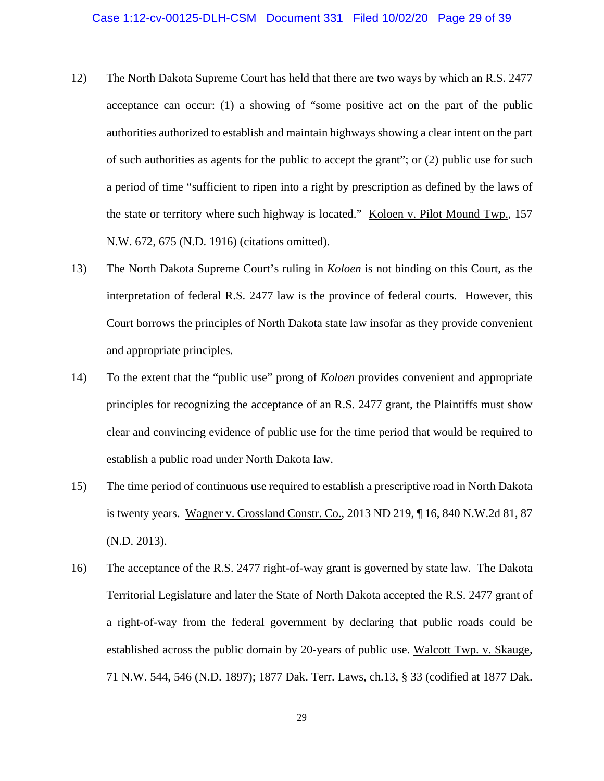- 12) The North Dakota Supreme Court has held that there are two ways by which an R.S. 2477 acceptance can occur: (1) a showing of "some positive act on the part of the public authorities authorized to establish and maintain highways showing a clear intent on the part of such authorities as agents for the public to accept the grant"; or (2) public use for such a period of time "sufficient to ripen into a right by prescription as defined by the laws of the state or territory where such highway is located." Koloen v. Pilot Mound Twp., 157 N.W. 672, 675 (N.D. 1916) (citations omitted).
- 13) The North Dakota Supreme Court's ruling in *Koloen* is not binding on this Court, as the interpretation of federal R.S. 2477 law is the province of federal courts. However, this Court borrows the principles of North Dakota state law insofar as they provide convenient and appropriate principles.
- 14) To the extent that the "public use" prong of *Koloen* provides convenient and appropriate principles for recognizing the acceptance of an R.S. 2477 grant, the Plaintiffs must show clear and convincing evidence of public use for the time period that would be required to establish a public road under North Dakota law.
- 15) The time period of continuous use required to establish a prescriptive road in North Dakota is twenty years. Wagner v. Crossland Constr. Co., 2013 ND 219, ¶ 16, 840 N.W.2d 81, 87 (N.D. 2013).
- 16) The acceptance of the R.S. 2477 right-of-way grant is governed by state law. The Dakota Territorial Legislature and later the State of North Dakota accepted the R.S. 2477 grant of a right-of-way from the federal government by declaring that public roads could be established across the public domain by 20-years of public use. Walcott Twp. v. Skauge, 71 N.W. 544, 546 (N.D. 1897); 1877 Dak. Terr. Laws, ch.13, § 33 (codified at 1877 Dak.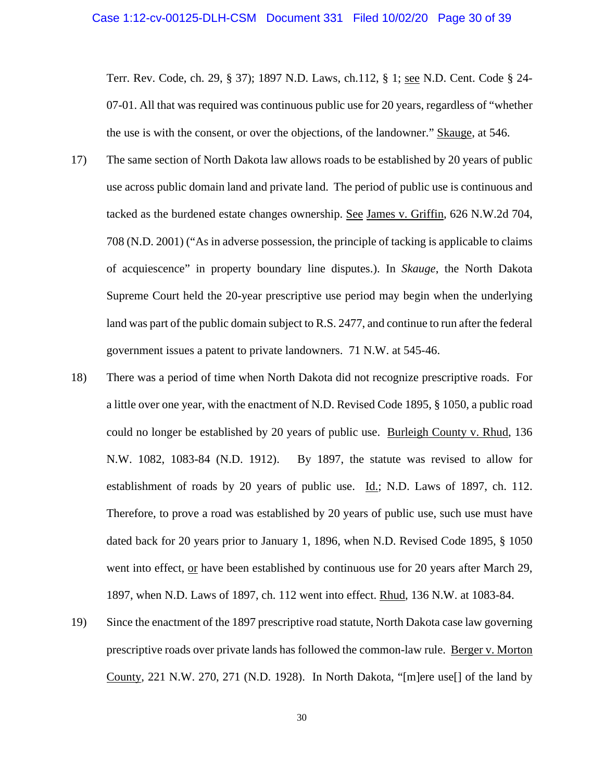Terr. Rev. Code, ch. 29, § 37); 1897 N.D. Laws, ch.112, § 1; see N.D. Cent. Code § 24- 07-01. All that was required was continuous public use for 20 years, regardless of "whether the use is with the consent, or over the objections, of the landowner." Skauge, at 546.

- 17) The same section of North Dakota law allows roads to be established by 20 years of public use across public domain land and private land. The period of public use is continuous and tacked as the burdened estate changes ownership. See James v. Griffin, 626 N.W.2d 704, 708 (N.D. 2001) ("As in adverse possession, the principle of tacking is applicable to claims of acquiescence" in property boundary line disputes.). In *Skauge*, the North Dakota Supreme Court held the 20-year prescriptive use period may begin when the underlying land was part of the public domain subject to R.S. 2477, and continue to run after the federal government issues a patent to private landowners. 71 N.W. at 545-46.
- 18) There was a period of time when North Dakota did not recognize prescriptive roads. For a little over one year, with the enactment of N.D. Revised Code 1895, § 1050, a public road could no longer be established by 20 years of public use. Burleigh County v. Rhud, 136 N.W. 1082, 1083-84 (N.D. 1912). By 1897, the statute was revised to allow for establishment of roads by 20 years of public use. Id.; N.D. Laws of 1897, ch. 112. Therefore, to prove a road was established by 20 years of public use, such use must have dated back for 20 years prior to January 1, 1896, when N.D. Revised Code 1895, § 1050 went into effect, or have been established by continuous use for 20 years after March 29, 1897, when N.D. Laws of 1897, ch. 112 went into effect. Rhud, 136 N.W. at 1083-84.
- 19) Since the enactment of the 1897 prescriptive road statute, North Dakota case law governing prescriptive roads over private lands has followed the common-law rule. Berger v. Morton County, 221 N.W. 270, 271 (N.D. 1928). In North Dakota, "[m]ere use[] of the land by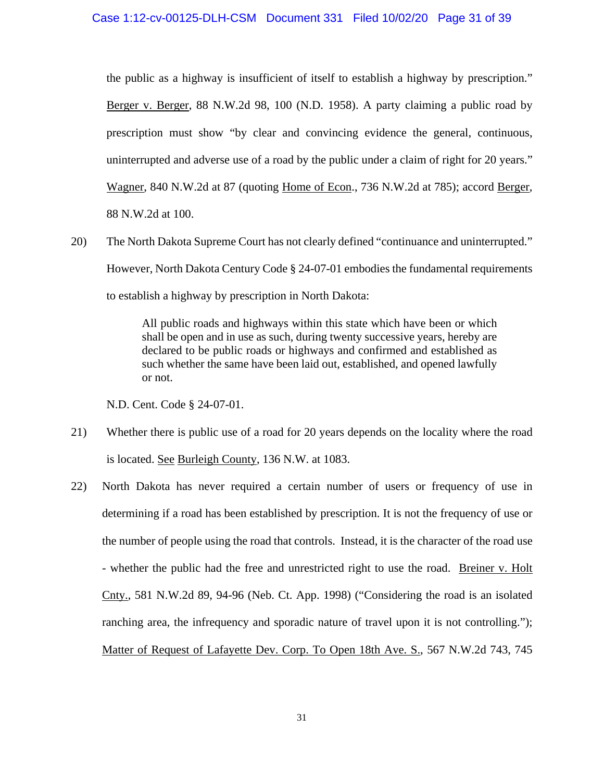the public as a highway is insufficient of itself to establish a highway by prescription." Berger v. Berger, 88 N.W.2d 98, 100 (N.D. 1958). A party claiming a public road by prescription must show "by clear and convincing evidence the general, continuous, uninterrupted and adverse use of a road by the public under a claim of right for 20 years." Wagner, 840 N.W.2d at 87 (quoting Home of Econ., 736 N.W.2d at 785); accord Berger, 88 N.W.2d at 100.

20) The North Dakota Supreme Court has not clearly defined "continuance and uninterrupted." However, North Dakota Century Code § 24-07-01 embodies the fundamental requirements to establish a highway by prescription in North Dakota:

> All public roads and highways within this state which have been or which shall be open and in use as such, during twenty successive years, hereby are declared to be public roads or highways and confirmed and established as such whether the same have been laid out, established, and opened lawfully or not.

N.D. Cent. Code § 24-07-01.

- 21) Whether there is public use of a road for 20 years depends on the locality where the road is located. See Burleigh County, 136 N.W. at 1083.
- 22) North Dakota has never required a certain number of users or frequency of use in determining if a road has been established by prescription. It is not the frequency of use or the number of people using the road that controls. Instead, it is the character of the road use - whether the public had the free and unrestricted right to use the road. Breiner v. Holt Cnty., 581 N.W.2d 89, 94-96 (Neb. Ct. App. 1998) ("Considering the road is an isolated ranching area, the infrequency and sporadic nature of travel upon it is not controlling."); Matter of Request of Lafayette Dev. Corp. To Open 18th Ave. S., 567 N.W.2d 743, 745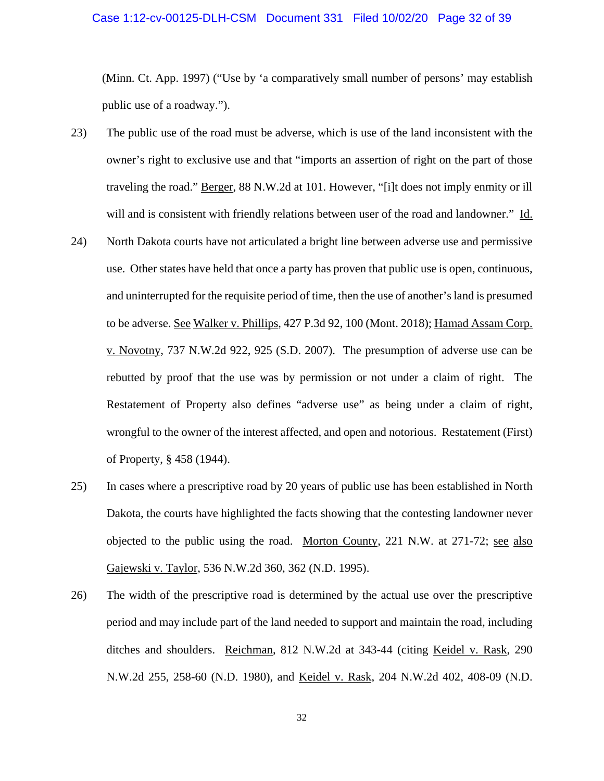### Case 1:12-cv-00125-DLH-CSM Document 331 Filed 10/02/20 Page 32 of 39

(Minn. Ct. App. 1997) ("Use by 'a comparatively small number of persons' may establish public use of a roadway.").

- 23) The public use of the road must be adverse, which is use of the land inconsistent with the owner's right to exclusive use and that "imports an assertion of right on the part of those traveling the road." Berger, 88 N.W.2d at 101. However, "[i]t does not imply enmity or ill will and is consistent with friendly relations between user of the road and landowner." Id.
- 24) North Dakota courts have not articulated a bright line between adverse use and permissive use. Other states have held that once a party has proven that public use is open, continuous, and uninterrupted for the requisite period of time, then the use of another's land is presumed to be adverse. See Walker v. Phillips, 427 P.3d 92, 100 (Mont. 2018); Hamad Assam Corp. v. Novotny, 737 N.W.2d 922, 925 (S.D. 2007). The presumption of adverse use can be rebutted by proof that the use was by permission or not under a claim of right. The Restatement of Property also defines "adverse use" as being under a claim of right, wrongful to the owner of the interest affected, and open and notorious. Restatement (First) of Property, § 458 (1944).
- 25) In cases where a prescriptive road by 20 years of public use has been established in North Dakota, the courts have highlighted the facts showing that the contesting landowner never objected to the public using the road. Morton County, 221 N.W. at 271-72; see also Gajewski v. Taylor, 536 N.W.2d 360, 362 (N.D. 1995).
- 26) The width of the prescriptive road is determined by the actual use over the prescriptive period and may include part of the land needed to support and maintain the road, including ditches and shoulders. Reichman, 812 N.W.2d at 343-44 (citing Keidel v. Rask, 290 N.W.2d 255, 258-60 (N.D. 1980), and Keidel v. Rask, 204 N.W.2d 402, 408-09 (N.D.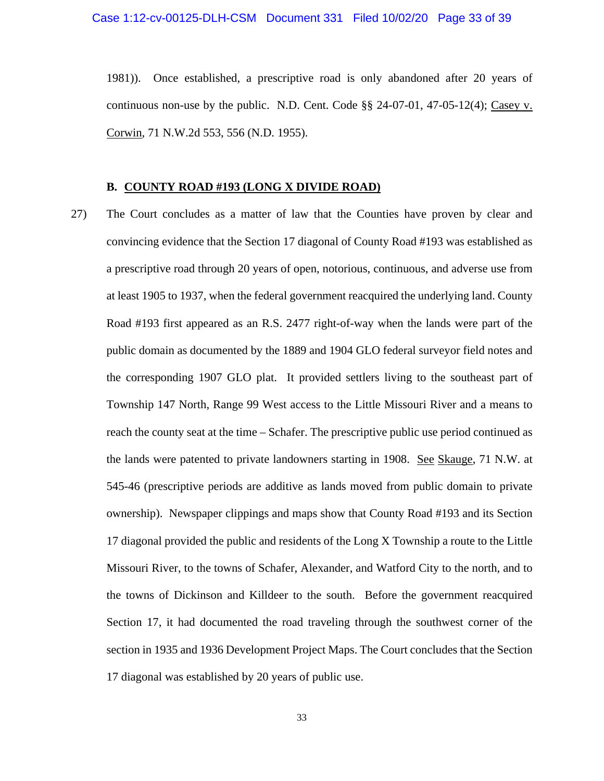1981)). Once established, a prescriptive road is only abandoned after 20 years of continuous non-use by the public. N.D. Cent. Code  $\S$ § 24-07-01, 47-05-12(4); Casey v. Corwin, 71 N.W.2d 553, 556 (N.D. 1955).

#### **B. COUNTY ROAD #193 (LONG X DIVIDE ROAD)**

27) The Court concludes as a matter of law that the Counties have proven by clear and convincing evidence that the Section 17 diagonal of County Road #193 was established as a prescriptive road through 20 years of open, notorious, continuous, and adverse use from at least 1905 to 1937, when the federal government reacquired the underlying land. County Road #193 first appeared as an R.S. 2477 right-of-way when the lands were part of the public domain as documented by the 1889 and 1904 GLO federal surveyor field notes and the corresponding 1907 GLO plat. It provided settlers living to the southeast part of Township 147 North, Range 99 West access to the Little Missouri River and a means to reach the county seat at the time – Schafer. The prescriptive public use period continued as the lands were patented to private landowners starting in 1908. See Skauge, 71 N.W. at 545-46 (prescriptive periods are additive as lands moved from public domain to private ownership). Newspaper clippings and maps show that County Road #193 and its Section 17 diagonal provided the public and residents of the Long X Township a route to the Little Missouri River, to the towns of Schafer, Alexander, and Watford City to the north, and to the towns of Dickinson and Killdeer to the south. Before the government reacquired Section 17, it had documented the road traveling through the southwest corner of the section in 1935 and 1936 Development Project Maps. The Court concludes that the Section 17 diagonal was established by 20 years of public use.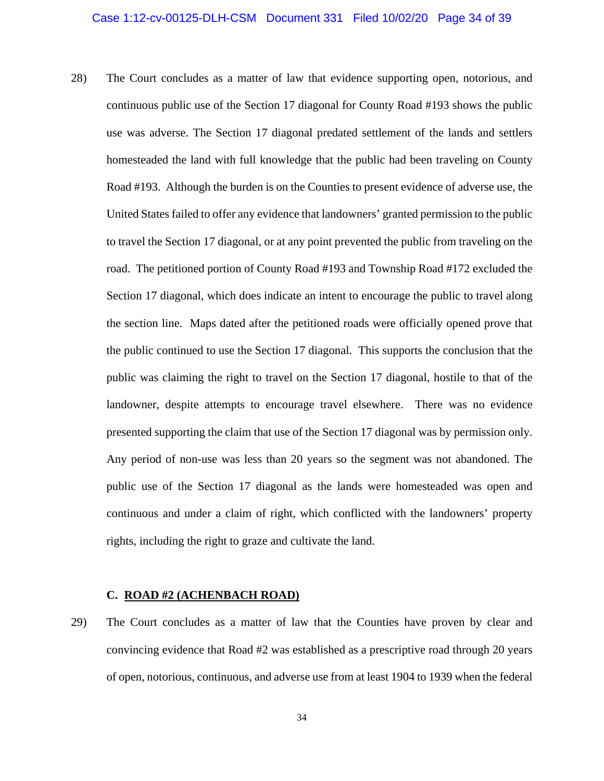28) The Court concludes as a matter of law that evidence supporting open, notorious, and continuous public use of the Section 17 diagonal for County Road #193 shows the public use was adverse. The Section 17 diagonal predated settlement of the lands and settlers homesteaded the land with full knowledge that the public had been traveling on County Road #193. Although the burden is on the Counties to present evidence of adverse use, the United States failed to offer any evidence that landowners' granted permission to the public to travel the Section 17 diagonal, or at any point prevented the public from traveling on the road. The petitioned portion of County Road #193 and Township Road #172 excluded the Section 17 diagonal, which does indicate an intent to encourage the public to travel along the section line. Maps dated after the petitioned roads were officially opened prove that the public continued to use the Section 17 diagonal. This supports the conclusion that the public was claiming the right to travel on the Section 17 diagonal, hostile to that of the landowner, despite attempts to encourage travel elsewhere. There was no evidence presented supporting the claim that use of the Section 17 diagonal was by permission only. Any period of non-use was less than 20 years so the segment was not abandoned. The public use of the Section 17 diagonal as the lands were homesteaded was open and continuous and under a claim of right, which conflicted with the landowners' property rights, including the right to graze and cultivate the land.

#### **C. ROAD #2 (ACHENBACH ROAD)**

29) The Court concludes as a matter of law that the Counties have proven by clear and convincing evidence that Road #2 was established as a prescriptive road through 20 years of open, notorious, continuous, and adverse use from at least 1904 to 1939 when the federal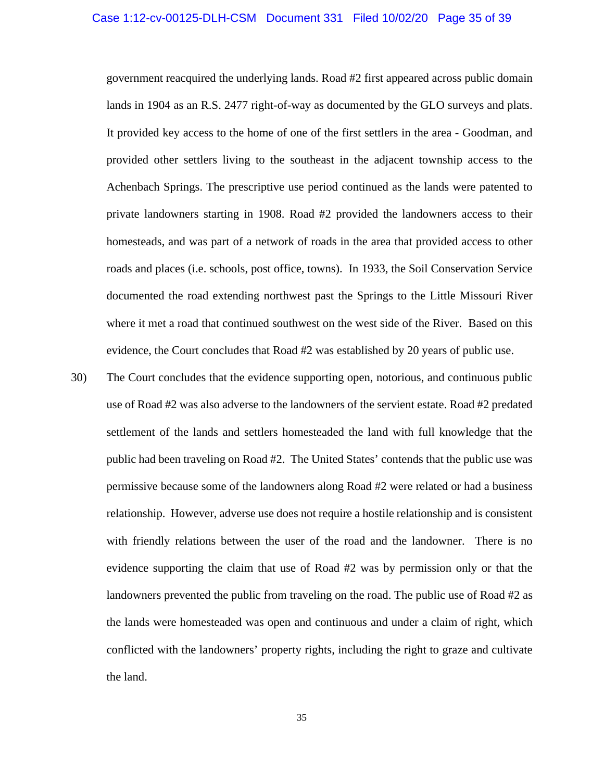government reacquired the underlying lands. Road #2 first appeared across public domain lands in 1904 as an R.S. 2477 right-of-way as documented by the GLO surveys and plats. It provided key access to the home of one of the first settlers in the area - Goodman, and provided other settlers living to the southeast in the adjacent township access to the Achenbach Springs. The prescriptive use period continued as the lands were patented to private landowners starting in 1908. Road #2 provided the landowners access to their homesteads, and was part of a network of roads in the area that provided access to other roads and places (i.e. schools, post office, towns). In 1933, the Soil Conservation Service documented the road extending northwest past the Springs to the Little Missouri River where it met a road that continued southwest on the west side of the River. Based on this evidence, the Court concludes that Road #2 was established by 20 years of public use.

30) The Court concludes that the evidence supporting open, notorious, and continuous public use of Road #2 was also adverse to the landowners of the servient estate. Road #2 predated settlement of the lands and settlers homesteaded the land with full knowledge that the public had been traveling on Road #2. The United States' contends that the public use was permissive because some of the landowners along Road #2 were related or had a business relationship. However, adverse use does not require a hostile relationship and is consistent with friendly relations between the user of the road and the landowner. There is no evidence supporting the claim that use of Road #2 was by permission only or that the landowners prevented the public from traveling on the road. The public use of Road #2 as the lands were homesteaded was open and continuous and under a claim of right, which conflicted with the landowners' property rights, including the right to graze and cultivate the land.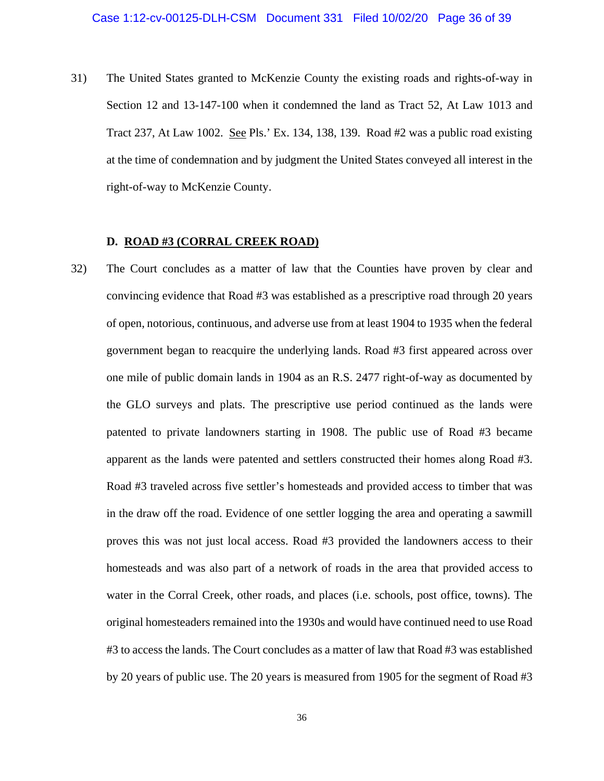31) The United States granted to McKenzie County the existing roads and rights-of-way in Section 12 and 13-147-100 when it condemned the land as Tract 52, At Law 1013 and Tract 237, At Law 1002. See Pls.' Ex. 134, 138, 139. Road #2 was a public road existing at the time of condemnation and by judgment the United States conveyed all interest in the right-of-way to McKenzie County.

### **D. ROAD #3 (CORRAL CREEK ROAD)**

32) The Court concludes as a matter of law that the Counties have proven by clear and convincing evidence that Road #3 was established as a prescriptive road through 20 years of open, notorious, continuous, and adverse use from at least 1904 to 1935 when the federal government began to reacquire the underlying lands. Road #3 first appeared across over one mile of public domain lands in 1904 as an R.S. 2477 right-of-way as documented by the GLO surveys and plats. The prescriptive use period continued as the lands were patented to private landowners starting in 1908. The public use of Road #3 became apparent as the lands were patented and settlers constructed their homes along Road #3. Road #3 traveled across five settler's homesteads and provided access to timber that was in the draw off the road. Evidence of one settler logging the area and operating a sawmill proves this was not just local access. Road #3 provided the landowners access to their homesteads and was also part of a network of roads in the area that provided access to water in the Corral Creek, other roads, and places (i.e. schools, post office, towns). The original homesteaders remained into the 1930s and would have continued need to use Road #3 to access the lands. The Court concludes as a matter of law that Road #3 was established by 20 years of public use. The 20 years is measured from 1905 for the segment of Road #3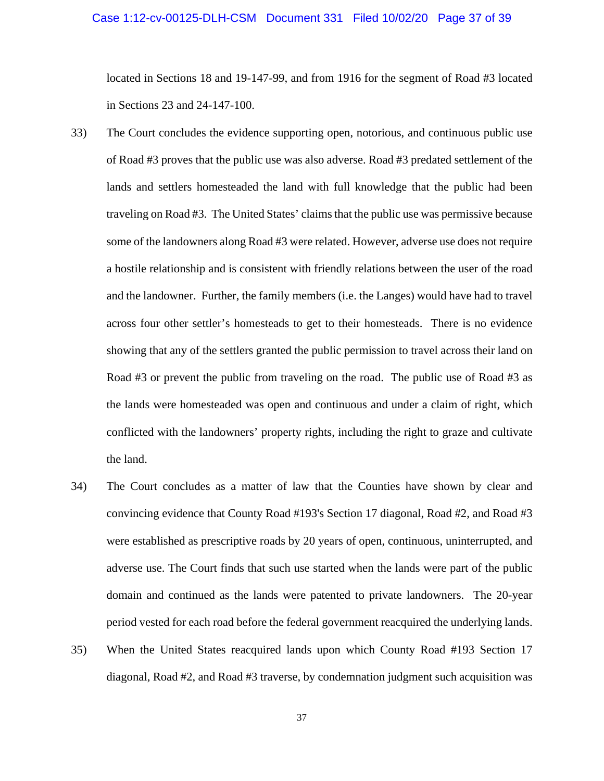### Case 1:12-cv-00125-DLH-CSM Document 331 Filed 10/02/20 Page 37 of 39

located in Sections 18 and 19-147-99, and from 1916 for the segment of Road #3 located in Sections 23 and 24-147-100.

- 33) The Court concludes the evidence supporting open, notorious, and continuous public use of Road #3 proves that the public use was also adverse. Road #3 predated settlement of the lands and settlers homesteaded the land with full knowledge that the public had been traveling on Road #3. The United States' claims that the public use was permissive because some of the landowners along Road #3 were related. However, adverse use does not require a hostile relationship and is consistent with friendly relations between the user of the road and the landowner. Further, the family members (i.e. the Langes) would have had to travel across four other settler's homesteads to get to their homesteads. There is no evidence showing that any of the settlers granted the public permission to travel across their land on Road #3 or prevent the public from traveling on the road. The public use of Road #3 as the lands were homesteaded was open and continuous and under a claim of right, which conflicted with the landowners' property rights, including the right to graze and cultivate the land.
- 34) The Court concludes as a matter of law that the Counties have shown by clear and convincing evidence that County Road #193's Section 17 diagonal, Road #2, and Road #3 were established as prescriptive roads by 20 years of open, continuous, uninterrupted, and adverse use. The Court finds that such use started when the lands were part of the public domain and continued as the lands were patented to private landowners. The 20-year period vested for each road before the federal government reacquired the underlying lands.
- 35) When the United States reacquired lands upon which County Road #193 Section 17 diagonal, Road #2, and Road #3 traverse, by condemnation judgment such acquisition was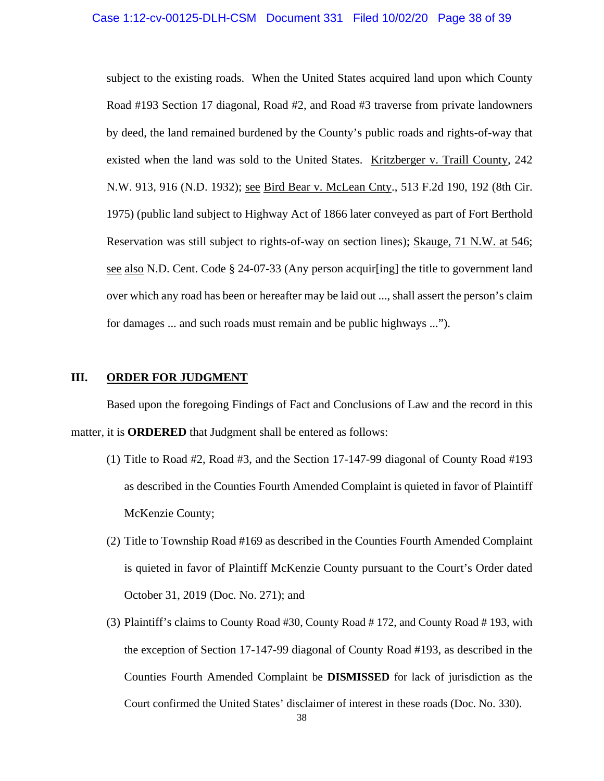subject to the existing roads. When the United States acquired land upon which County Road #193 Section 17 diagonal, Road #2, and Road #3 traverse from private landowners by deed, the land remained burdened by the County's public roads and rights-of-way that existed when the land was sold to the United States. Kritzberger v. Traill County, 242 N.W. 913, 916 (N.D. 1932); see Bird Bear v. McLean Cnty., 513 F.2d 190, 192 (8th Cir. 1975) (public land subject to Highway Act of 1866 later conveyed as part of Fort Berthold Reservation was still subject to rights-of-way on section lines); Skauge, 71 N.W. at 546; see also N.D. Cent. Code § 24-07-33 (Any person acquir[ing] the title to government land over which any road has been or hereafter may be laid out ..., shall assert the person's claim for damages ... and such roads must remain and be public highways ...").

### **III.** ORDER FOR JUDGMENT

Based upon the foregoing Findings of Fact and Conclusions of Law and the record in this matter, it is **ORDERED** that Judgment shall be entered as follows:

- (1) Title to Road #2, Road #3, and the Section 17-147-99 diagonal of County Road #193 as described in the Counties Fourth Amended Complaint is quieted in favor of Plaintiff McKenzie County;
- (2) Title to Township Road #169 as described in the Counties Fourth Amended Complaint is quieted in favor of Plaintiff McKenzie County pursuant to the Court's Order dated October 31, 2019 (Doc. No. 271); and
- (3) Plaintiff's claims to County Road #30, County Road # 172, and County Road # 193, with the exception of Section 17-147-99 diagonal of County Road #193, as described in the Counties Fourth Amended Complaint be **DISMISSED** for lack of jurisdiction as the Court confirmed the United States' disclaimer of interest in these roads (Doc. No. 330).